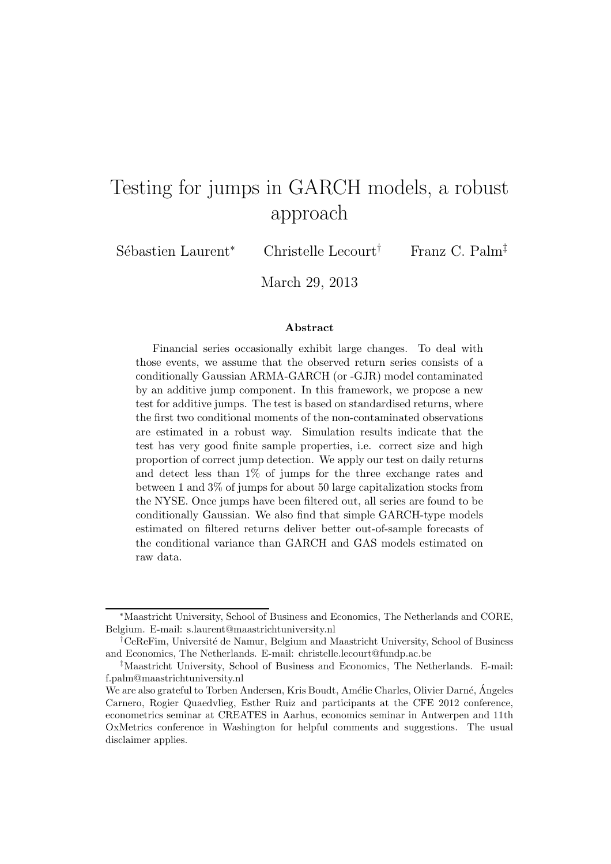# Testing for jumps in GARCH models, a robust approach

Sébastien Laurent<sup>∗</sup> Christelle Lecourt<sup>†</sup> Franz C. Palm<sup>‡</sup>

March 29, 2013

#### Abstract

Financial series occasionally exhibit large changes. To deal with those events, we assume that the observed return series consists of a conditionally Gaussian ARMA-GARCH (or -GJR) model contaminated by an additive jump component. In this framework, we propose a new test for additive jumps. The test is based on standardised returns, where the first two conditional moments of the non-contaminated observations are estimated in a robust way. Simulation results indicate that the test has very good finite sample properties, i.e. correct size and high proportion of correct jump detection. We apply our test on daily returns and detect less than 1% of jumps for the three exchange rates and between 1 and 3% of jumps for about 50 large capitalization stocks from the NYSE. Once jumps have been filtered out, all series are found to be conditionally Gaussian. We also find that simple GARCH-type models estimated on filtered returns deliver better out-of-sample forecasts of the conditional variance than GARCH and GAS models estimated on raw data.

<sup>∗</sup>Maastricht University, School of Business and Economics, The Netherlands and CORE, Belgium. E-mail: s.laurent@maastrichtuniversity.nl

<sup>&</sup>lt;sup>†</sup>CeReFim, Université de Namur, Belgium and Maastricht University, School of Business and Economics, The Netherlands. E-mail: christelle.lecourt@fundp.ac.be

<sup>‡</sup>Maastricht University, School of Business and Economics, The Netherlands. E-mail: f.palm@maastrichtuniversity.nl

We are also grateful to Torben Andersen, Kris Boudt, Amélie Charles, Olivier Darné, Ángeles Carnero, Rogier Quaedvlieg, Esther Ruiz and participants at the CFE 2012 conference, econometrics seminar at CREATES in Aarhus, economics seminar in Antwerpen and 11th OxMetrics conference in Washington for helpful comments and suggestions. The usual disclaimer applies.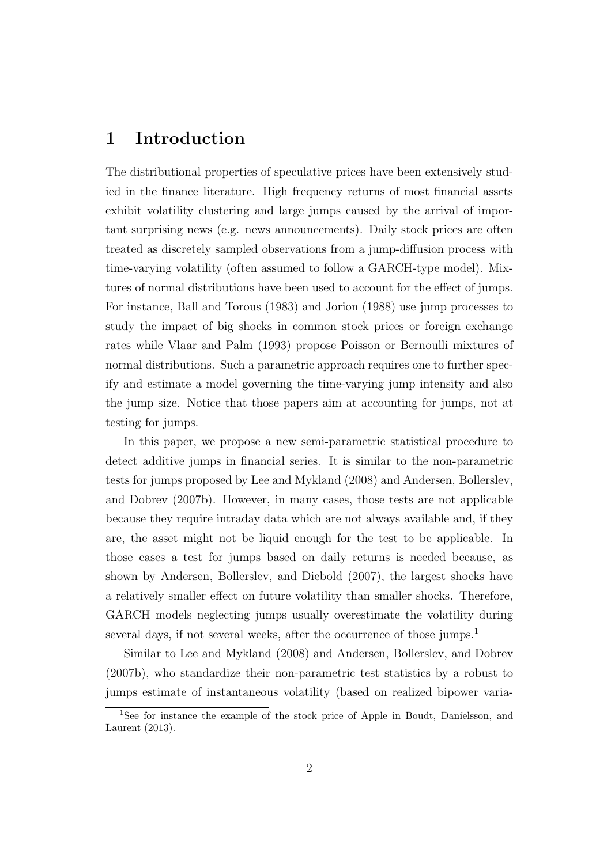### 1 Introduction

The distributional properties of speculative prices have been extensively studied in the finance literature. High frequency returns of most financial assets exhibit volatility clustering and large jumps caused by the arrival of important surprising news (e.g. news announcements). Daily stock prices are often treated as discretely sampled observations from a jump-diffusion process with time-varying volatility (often assumed to follow a GARCH-type model). Mixtures of normal distributions have been used to account for the effect of jumps. For instance, Ball and Torous (1983) and Jorion (1988) use jump processes to study the impact of big shocks in common stock prices or foreign exchange rates while Vlaar and Palm (1993) propose Poisson or Bernoulli mixtures of normal distributions. Such a parametric approach requires one to further specify and estimate a model governing the time-varying jump intensity and also the jump size. Notice that those papers aim at accounting for jumps, not at testing for jumps.

In this paper, we propose a new semi-parametric statistical procedure to detect additive jumps in financial series. It is similar to the non-parametric tests for jumps proposed by Lee and Mykland (2008) and Andersen, Bollerslev, and Dobrev (2007b). However, in many cases, those tests are not applicable because they require intraday data which are not always available and, if they are, the asset might not be liquid enough for the test to be applicable. In those cases a test for jumps based on daily returns is needed because, as shown by Andersen, Bollerslev, and Diebold (2007), the largest shocks have a relatively smaller effect on future volatility than smaller shocks. Therefore, GARCH models neglecting jumps usually overestimate the volatility during several days, if not several weeks, after the occurrence of those jumps.<sup>1</sup>

Similar to Lee and Mykland (2008) and Andersen, Bollerslev, and Dobrev (2007b), who standardize their non-parametric test statistics by a robust to jumps estimate of instantaneous volatility (based on realized bipower varia-

<sup>&</sup>lt;sup>1</sup>See for instance the example of the stock price of Apple in Boudt, Daníelsson, and Laurent (2013).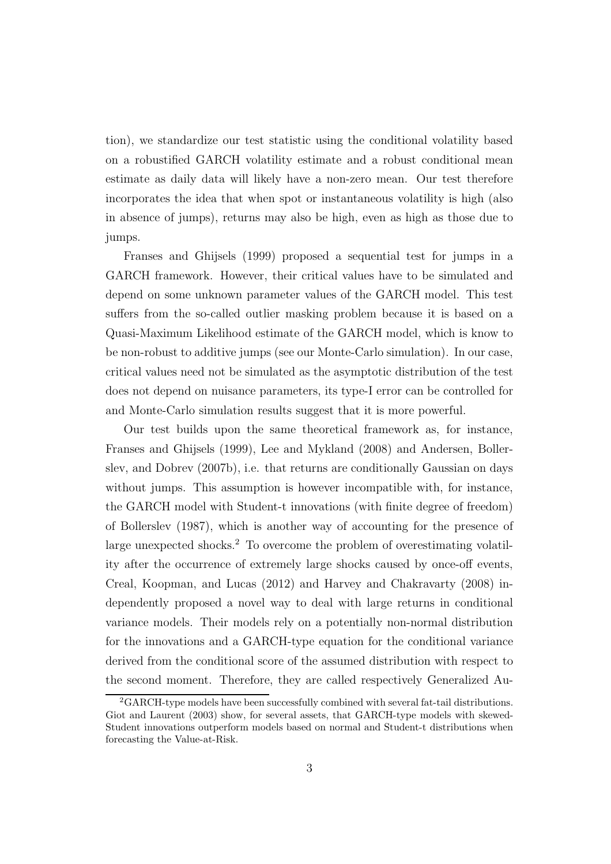tion), we standardize our test statistic using the conditional volatility based on a robustified GARCH volatility estimate and a robust conditional mean estimate as daily data will likely have a non-zero mean. Our test therefore incorporates the idea that when spot or instantaneous volatility is high (also in absence of jumps), returns may also be high, even as high as those due to jumps.

Franses and Ghijsels (1999) proposed a sequential test for jumps in a GARCH framework. However, their critical values have to be simulated and depend on some unknown parameter values of the GARCH model. This test suffers from the so-called outlier masking problem because it is based on a Quasi-Maximum Likelihood estimate of the GARCH model, which is know to be non-robust to additive jumps (see our Monte-Carlo simulation). In our case, critical values need not be simulated as the asymptotic distribution of the test does not depend on nuisance parameters, its type-I error can be controlled for and Monte-Carlo simulation results suggest that it is more powerful.

Our test builds upon the same theoretical framework as, for instance, Franses and Ghijsels (1999), Lee and Mykland (2008) and Andersen, Bollerslev, and Dobrev (2007b), i.e. that returns are conditionally Gaussian on days without jumps. This assumption is however incompatible with, for instance, the GARCH model with Student-t innovations (with finite degree of freedom) of Bollerslev (1987), which is another way of accounting for the presence of large unexpected shocks.<sup>2</sup> To overcome the problem of overestimating volatility after the occurrence of extremely large shocks caused by once-off events, Creal, Koopman, and Lucas (2012) and Harvey and Chakravarty (2008) independently proposed a novel way to deal with large returns in conditional variance models. Their models rely on a potentially non-normal distribution for the innovations and a GARCH-type equation for the conditional variance derived from the conditional score of the assumed distribution with respect to the second moment. Therefore, they are called respectively Generalized Au-

<sup>2</sup>GARCH-type models have been successfully combined with several fat-tail distributions. Giot and Laurent (2003) show, for several assets, that GARCH-type models with skewed-Student innovations outperform models based on normal and Student-t distributions when forecasting the Value-at-Risk.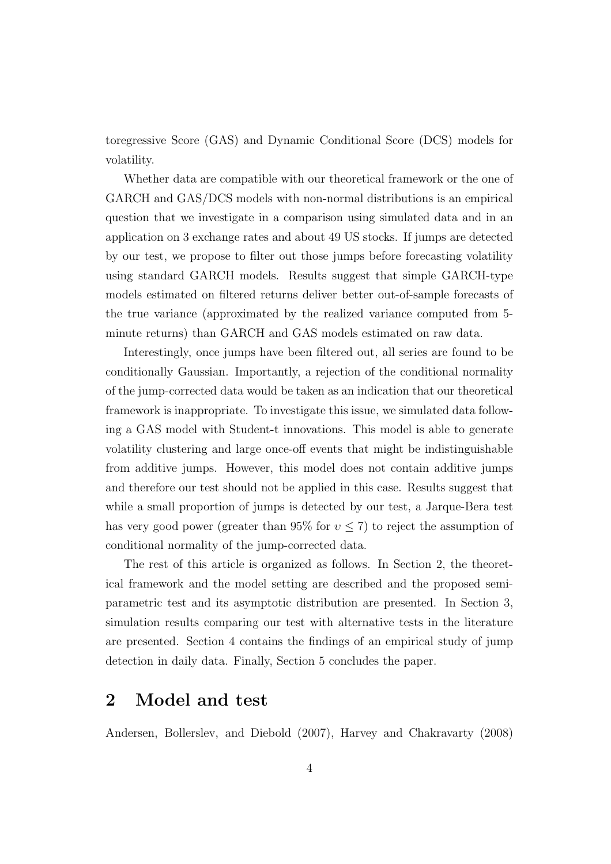toregressive Score (GAS) and Dynamic Conditional Score (DCS) models for volatility.

Whether data are compatible with our theoretical framework or the one of GARCH and GAS/DCS models with non-normal distributions is an empirical question that we investigate in a comparison using simulated data and in an application on 3 exchange rates and about 49 US stocks. If jumps are detected by our test, we propose to filter out those jumps before forecasting volatility using standard GARCH models. Results suggest that simple GARCH-type models estimated on filtered returns deliver better out-of-sample forecasts of the true variance (approximated by the realized variance computed from 5 minute returns) than GARCH and GAS models estimated on raw data.

Interestingly, once jumps have been filtered out, all series are found to be conditionally Gaussian. Importantly, a rejection of the conditional normality of the jump-corrected data would be taken as an indication that our theoretical framework is inappropriate. To investigate this issue, we simulated data following a GAS model with Student-t innovations. This model is able to generate volatility clustering and large once-off events that might be indistinguishable from additive jumps. However, this model does not contain additive jumps and therefore our test should not be applied in this case. Results suggest that while a small proportion of jumps is detected by our test, a Jarque-Bera test has very good power (greater than 95% for  $v \leq 7$ ) to reject the assumption of conditional normality of the jump-corrected data.

The rest of this article is organized as follows. In Section 2, the theoretical framework and the model setting are described and the proposed semiparametric test and its asymptotic distribution are presented. In Section 3, simulation results comparing our test with alternative tests in the literature are presented. Section 4 contains the findings of an empirical study of jump detection in daily data. Finally, Section 5 concludes the paper.

### 2 Model and test

Andersen, Bollerslev, and Diebold (2007), Harvey and Chakravarty (2008)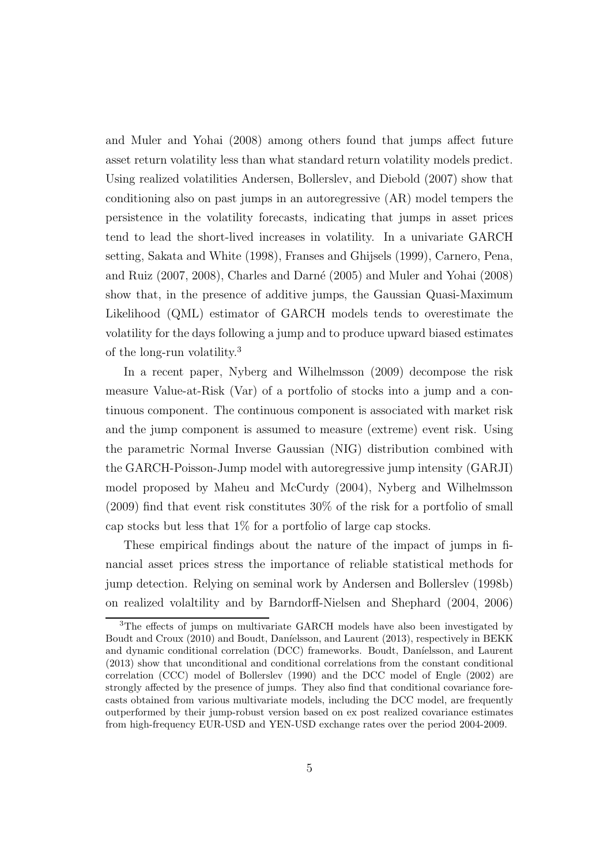and Muler and Yohai (2008) among others found that jumps affect future asset return volatility less than what standard return volatility models predict. Using realized volatilities Andersen, Bollerslev, and Diebold (2007) show that conditioning also on past jumps in an autoregressive (AR) model tempers the persistence in the volatility forecasts, indicating that jumps in asset prices tend to lead the short-lived increases in volatility. In a univariate GARCH setting, Sakata and White (1998), Franses and Ghijsels (1999), Carnero, Pena, and Ruiz (2007, 2008), Charles and Darn´e (2005) and Muler and Yohai (2008) show that, in the presence of additive jumps, the Gaussian Quasi-Maximum Likelihood (QML) estimator of GARCH models tends to overestimate the volatility for the days following a jump and to produce upward biased estimates of the long-run volatility.<sup>3</sup>

In a recent paper, Nyberg and Wilhelmsson (2009) decompose the risk measure Value-at-Risk (Var) of a portfolio of stocks into a jump and a continuous component. The continuous component is associated with market risk and the jump component is assumed to measure (extreme) event risk. Using the parametric Normal Inverse Gaussian (NIG) distribution combined with the GARCH-Poisson-Jump model with autoregressive jump intensity (GARJI) model proposed by Maheu and McCurdy (2004), Nyberg and Wilhelmsson (2009) find that event risk constitutes 30% of the risk for a portfolio of small cap stocks but less that 1% for a portfolio of large cap stocks.

These empirical findings about the nature of the impact of jumps in financial asset prices stress the importance of reliable statistical methods for jump detection. Relying on seminal work by Andersen and Bollerslev (1998b) on realized volaltility and by Barndorff-Nielsen and Shephard (2004, 2006)

<sup>&</sup>lt;sup>3</sup>The effects of jumps on multivariate GARCH models have also been investigated by Boudt and Croux (2010) and Boudt, Daníelsson, and Laurent (2013), respectively in BEKK and dynamic conditional correlation (DCC) frameworks. Boudt, Daníelsson, and Laurent (2013) show that unconditional and conditional correlations from the constant conditional correlation (CCC) model of Bollerslev (1990) and the DCC model of Engle (2002) are strongly affected by the presence of jumps. They also find that conditional covariance forecasts obtained from various multivariate models, including the DCC model, are frequently outperformed by their jump-robust version based on ex post realized covariance estimates from high-frequency EUR-USD and YEN-USD exchange rates over the period 2004-2009.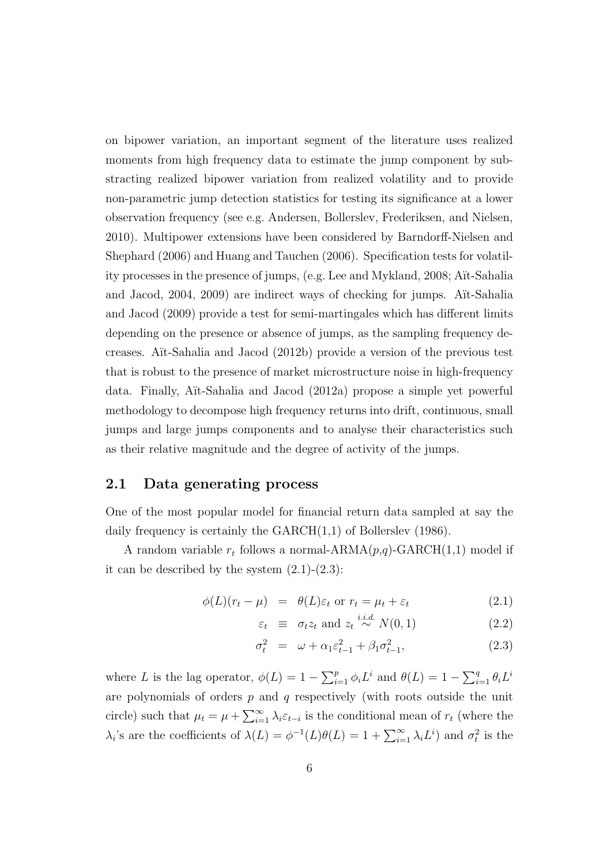on bipower variation, an important segment of the literature uses realized moments from high frequency data to estimate the jump component by substracting realized bipower variation from realized volatility and to provide non-parametric jump detection statistics for testing its significance at a lower observation frequency (see e.g. Andersen, Bollerslev, Frederiksen, and Nielsen, 2010). Multipower extensions have been considered by Barndorff-Nielsen and Shephard (2006) and Huang and Tauchen (2006). Specification tests for volatility processes in the presence of jumps, (e.g. Lee and Mykland, 2008; Aït-Sahalia and Jacod, 2004, 2009) are indirect ways of checking for jumps. Aït-Sahalia and Jacod (2009) provide a test for semi-martingales which has different limits depending on the presence or absence of jumps, as the sampling frequency decreases. A¨ıt-Sahalia and Jacod (2012b) provide a version of the previous test that is robust to the presence of market microstructure noise in high-frequency data. Finally, A¨ıt-Sahalia and Jacod (2012a) propose a simple yet powerful methodology to decompose high frequency returns into drift, continuous, small jumps and large jumps components and to analyse their characteristics such as their relative magnitude and the degree of activity of the jumps.

#### 2.1 Data generating process

One of the most popular model for financial return data sampled at say the daily frequency is certainly the  $GARCH(1,1)$  of Bollerslev (1986).

A random variable  $r_t$  follows a normal-ARMA $(p,q)$ -GARCH $(1,1)$  model if it can be described by the system  $(2.1)-(2.3)$ :

$$
\phi(L)(r_t - \mu) = \theta(L)\varepsilon_t \text{ or } r_t = \mu_t + \varepsilon_t \tag{2.1}
$$

$$
\varepsilon_t \equiv \sigma_t z_t \text{ and } z_t \stackrel{i.i.d.}{\sim} N(0,1) \tag{2.2}
$$

$$
\sigma_t^2 = \omega + \alpha_1 \varepsilon_{t-1}^2 + \beta_1 \sigma_{t-1}^2, \tag{2.3}
$$

where L is the lag operator,  $\phi(L) = 1 - \sum_{i=1}^{p} \phi_i L^i$  and  $\theta(L) = 1 - \sum_{i=1}^{q} \theta_i L^i$ are polynomials of orders  $p$  and  $q$  respectively (with roots outside the unit circle) such that  $\mu_t = \mu + \sum_{i=1}^{\infty} \lambda_i \varepsilon_{t-i}$  is the conditional mean of  $r_t$  (where the  $\lambda_i$ 's are the coefficients of  $\lambda(L) = \phi^{-1}(L)\theta(L) = 1 + \sum_{i=1}^{\infty} \lambda_i L^i$  and  $\sigma_t^2$  is the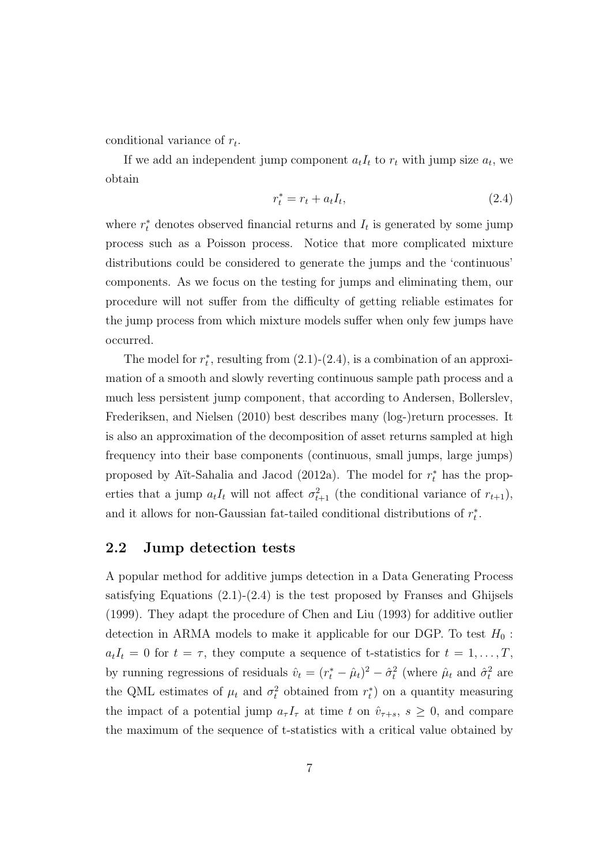conditional variance of  $r_t$ .

If we add an independent jump component  $a_t I_t$  to  $r_t$  with jump size  $a_t$ , we obtain

$$
r_t^* = r_t + a_t I_t,\tag{2.4}
$$

where  $r_t^*$  denotes observed financial returns and  $I_t$  is generated by some jump process such as a Poisson process. Notice that more complicated mixture distributions could be considered to generate the jumps and the 'continuous' components. As we focus on the testing for jumps and eliminating them, our procedure will not suffer from the difficulty of getting reliable estimates for the jump process from which mixture models suffer when only few jumps have occurred.

The model for  $r_t^*$ , resulting from  $(2.1)-(2.4)$ , is a combination of an approximation of a smooth and slowly reverting continuous sample path process and a much less persistent jump component, that according to Andersen, Bollerslev, Frederiksen, and Nielsen (2010) best describes many (log-)return processes. It is also an approximation of the decomposition of asset returns sampled at high frequency into their base components (continuous, small jumps, large jumps) proposed by Aït-Sahalia and Jacod (2012a). The model for  $r_t^*$  has the properties that a jump  $a_t I_t$  will not affect  $\sigma_{t+1}^2$  (the conditional variance of  $r_{t+1}$ ), and it allows for non-Gaussian fat-tailed conditional distributions of  $r_t^*$ .

#### 2.2 Jump detection tests

A popular method for additive jumps detection in a Data Generating Process satisfying Equations  $(2.1)-(2.4)$  is the test proposed by Franses and Ghijsels (1999). They adapt the procedure of Chen and Liu (1993) for additive outlier detection in ARMA models to make it applicable for our DGP. To test  $H_0$ :  $a_tI_t = 0$  for  $t = \tau$ , they compute a sequence of t-statistics for  $t = 1, \ldots, T$ , by running regressions of residuals  $\hat{v}_t = (r_t^* - \hat{\mu}_t)^2 - \hat{\sigma}_t^2$  (where  $\hat{\mu}_t$  and  $\hat{\sigma}_t^2$  are the QML estimates of  $\mu_t$  and  $\sigma_t^2$  obtained from  $r_t^*$ ) on a quantity measuring the impact of a potential jump  $a_{\tau} I_{\tau}$  at time t on  $\hat{v}_{\tau+s}$ ,  $s \geq 0$ , and compare the maximum of the sequence of t-statistics with a critical value obtained by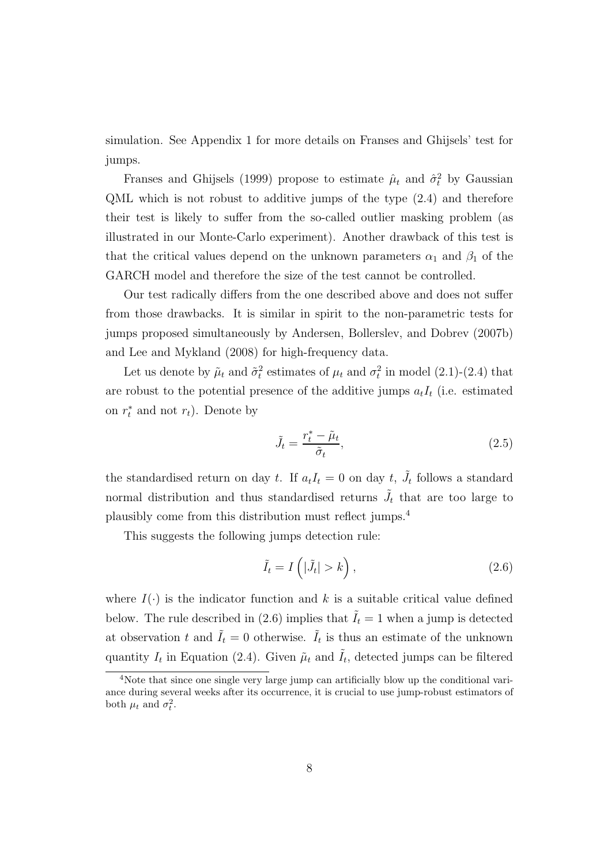simulation. See Appendix 1 for more details on Franses and Ghijsels' test for jumps.

Franses and Ghijsels (1999) propose to estimate  $\hat{\mu}_t$  and  $\hat{\sigma}_t^2$  by Gaussian QML which is not robust to additive jumps of the type (2.4) and therefore their test is likely to suffer from the so-called outlier masking problem (as illustrated in our Monte-Carlo experiment). Another drawback of this test is that the critical values depend on the unknown parameters  $\alpha_1$  and  $\beta_1$  of the GARCH model and therefore the size of the test cannot be controlled.

Our test radically differs from the one described above and does not suffer from those drawbacks. It is similar in spirit to the non-parametric tests for jumps proposed simultaneously by Andersen, Bollerslev, and Dobrev (2007b) and Lee and Mykland (2008) for high-frequency data.

Let us denote by  $\tilde{\mu}_t$  and  $\tilde{\sigma}_t^2$  estimates of  $\mu_t$  and  $\sigma_t^2$  in model (2.1)-(2.4) that are robust to the potential presence of the additive jumps  $a_t I_t$  (i.e. estimated on  $r_t^*$  and not  $r_t$ ). Denote by

$$
\tilde{J}_t = \frac{r_t^* - \tilde{\mu}_t}{\tilde{\sigma}_t},\tag{2.5}
$$

the standardised return on day t. If  $a_t I_t = 0$  on day t,  $\tilde{J}_t$  follows a standard normal distribution and thus standardised returns  $\tilde{J}_t$  that are too large to plausibly come from this distribution must reflect jumps.<sup>4</sup>

This suggests the following jumps detection rule:

$$
\tilde{I}_t = I\left(|\tilde{J}_t| > k\right),\tag{2.6}
$$

where  $I(\cdot)$  is the indicator function and k is a suitable critical value defined below. The rule described in (2.6) implies that  $\tilde{I}_t = 1$  when a jump is detected at observation t and  $\tilde{I}_t = 0$  otherwise.  $\tilde{I}_t$  is thus an estimate of the unknown quantity  $I_t$  in Equation (2.4). Given  $\tilde{\mu}_t$  and  $\tilde{I}_t$ , detected jumps can be filtered

<sup>4</sup>Note that since one single very large jump can artificially blow up the conditional variance during several weeks after its occurrence, it is crucial to use jump-robust estimators of both  $\mu_t$  and  $\sigma_t^2$ .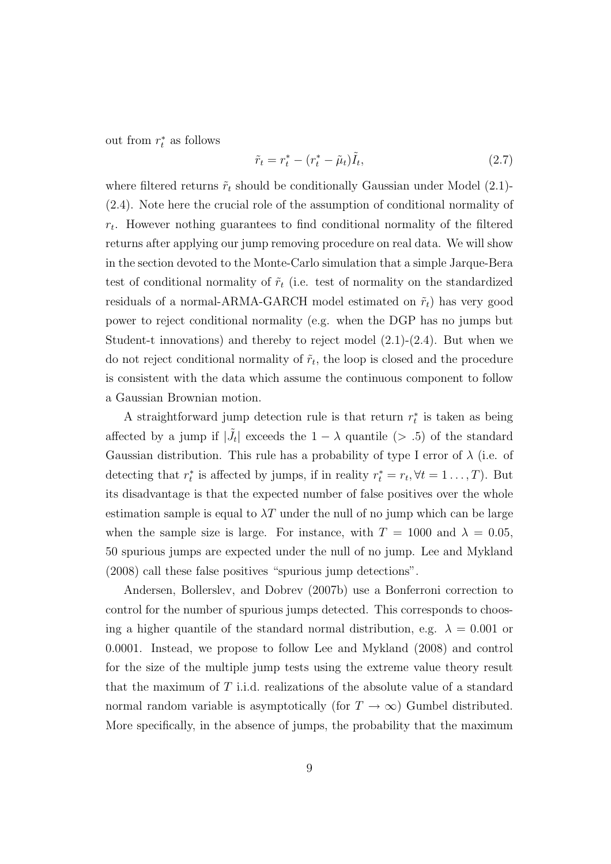out from  $r_t^*$  as follows

$$
\tilde{r}_t = r_t^* - (r_t^* - \tilde{\mu}_t)\tilde{I}_t,\tag{2.7}
$$

where filtered returns  $\tilde{r}_t$  should be conditionally Gaussian under Model (2.1)-(2.4). Note here the crucial role of the assumption of conditional normality of  $r_t$ . However nothing guarantees to find conditional normality of the filtered returns after applying our jump removing procedure on real data. We will show in the section devoted to the Monte-Carlo simulation that a simple Jarque-Bera test of conditional normality of  $\tilde{r}_t$  (i.e. test of normality on the standardized residuals of a normal-ARMA-GARCH model estimated on  $\tilde{r}_t$ ) has very good power to reject conditional normality (e.g. when the DGP has no jumps but Student-t innovations) and thereby to reject model  $(2.1)-(2.4)$ . But when we do not reject conditional normality of  $\tilde{r}_t$ , the loop is closed and the procedure is consistent with the data which assume the continuous component to follow a Gaussian Brownian motion.

A straightforward jump detection rule is that return  $r_t^*$  is taken as being affected by a jump if  $|\tilde{J}_t|$  exceeds the  $1 - \lambda$  quantile (> .5) of the standard Gaussian distribution. This rule has a probability of type I error of  $\lambda$  (i.e. of detecting that  $r_t^*$  is affected by jumps, if in reality  $r_t^* = r_t, \forall t = 1 \dots, T$ ). But its disadvantage is that the expected number of false positives over the whole estimation sample is equal to  $\lambda T$  under the null of no jump which can be large when the sample size is large. For instance, with  $T = 1000$  and  $\lambda = 0.05$ , 50 spurious jumps are expected under the null of no jump. Lee and Mykland (2008) call these false positives "spurious jump detections".

Andersen, Bollerslev, and Dobrev (2007b) use a Bonferroni correction to control for the number of spurious jumps detected. This corresponds to choosing a higher quantile of the standard normal distribution, e.g.  $\lambda = 0.001$  or 0.0001. Instead, we propose to follow Lee and Mykland (2008) and control for the size of the multiple jump tests using the extreme value theory result that the maximum of T i.i.d. realizations of the absolute value of a standard normal random variable is asymptotically (for  $T \to \infty$ ) Gumbel distributed. More specifically, in the absence of jumps, the probability that the maximum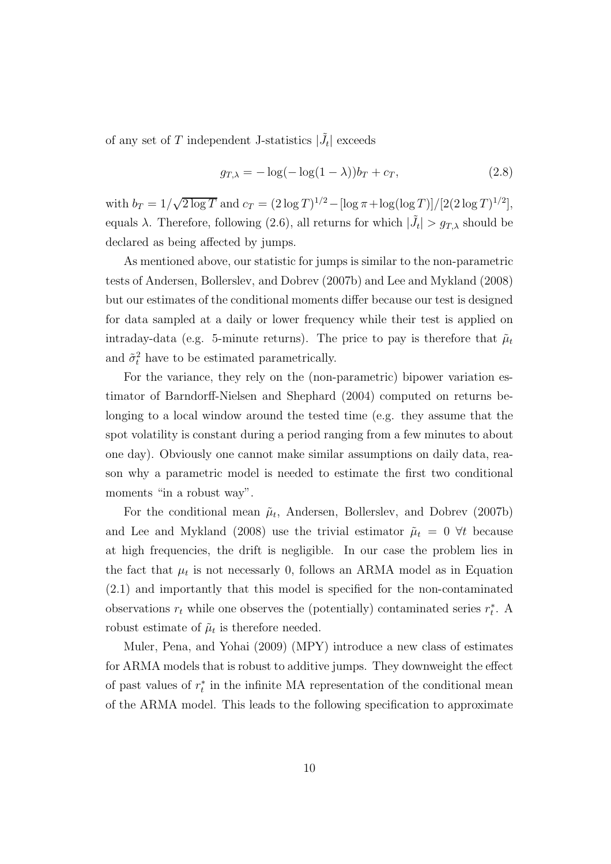of any set of  $T$  independent J-statistics  $|\tilde{J}_t|$  exceeds

$$
g_{T,\lambda} = -\log(-\log(1-\lambda))b_T + c_T,
$$
\n(2.8)

with  $b_T = 1/\sqrt{2 \log T}$  and  $c_T = (2 \log T)^{1/2} - [\log \pi + \log(\log T)]/[2(2 \log T)^{1/2}]$ , equals  $\lambda$ . Therefore, following (2.6), all returns for which  $|\tilde{J}_t| > g_{T,\lambda}$  should be declared as being affected by jumps.

As mentioned above, our statistic for jumps is similar to the non-parametric tests of Andersen, Bollerslev, and Dobrev (2007b) and Lee and Mykland (2008) but our estimates of the conditional moments differ because our test is designed for data sampled at a daily or lower frequency while their test is applied on intraday-data (e.g. 5-minute returns). The price to pay is therefore that  $\tilde{\mu}_t$ and  $\tilde{\sigma}_t^2$  have to be estimated parametrically.

For the variance, they rely on the (non-parametric) bipower variation estimator of Barndorff-Nielsen and Shephard (2004) computed on returns belonging to a local window around the tested time (e.g. they assume that the spot volatility is constant during a period ranging from a few minutes to about one day). Obviously one cannot make similar assumptions on daily data, reason why a parametric model is needed to estimate the first two conditional moments "in a robust way".

For the conditional mean  $\tilde{\mu}_t$ , Andersen, Bollerslev, and Dobrev (2007b) and Lee and Mykland (2008) use the trivial estimator  $\tilde{\mu}_t = 0$   $\forall t$  because at high frequencies, the drift is negligible. In our case the problem lies in the fact that  $\mu_t$  is not necessarly 0, follows an ARMA model as in Equation (2.1) and importantly that this model is specified for the non-contaminated observations  $r_t$  while one observes the (potentially) contaminated series  $r_t^*$ . A robust estimate of  $\tilde{\mu}_t$  is therefore needed.

Muler, Pena, and Yohai (2009) (MPY) introduce a new class of estimates for ARMA models that is robust to additive jumps. They downweight the effect of past values of  $r_t^*$  in the infinite MA representation of the conditional mean of the ARMA model. This leads to the following specification to approximate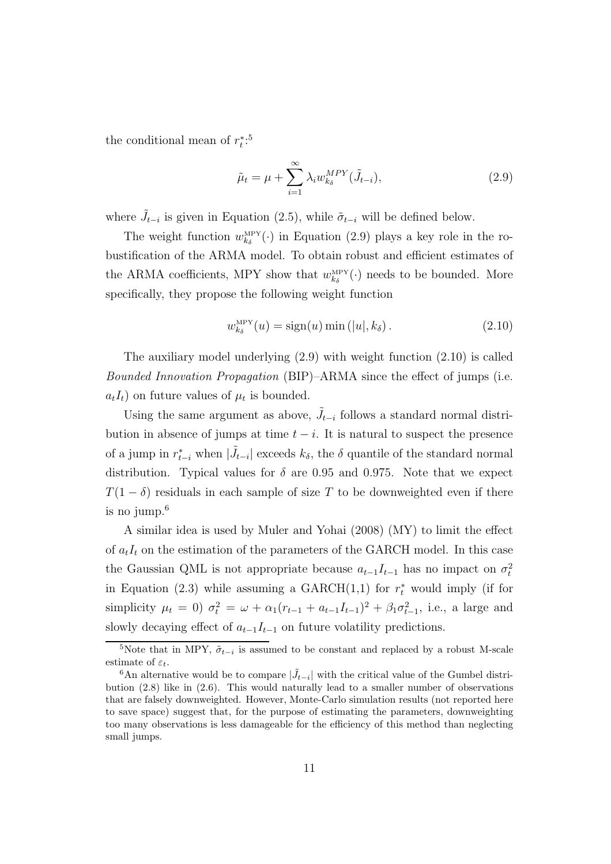the conditional mean of  $r_t^{*,5}$ 

$$
\tilde{\mu}_t = \mu + \sum_{i=1}^{\infty} \lambda_i w_{k_\delta}^{MPY} (\tilde{J}_{t-i}), \qquad (2.9)
$$

where  $\tilde{J}_{t-i}$  is given in Equation (2.5), while  $\tilde{\sigma}_{t-i}$  will be defined below.

The weight function  $w_{k_\delta}^{\text{MPY}}(\cdot)$  in Equation (2.9) plays a key role in the robustification of the ARMA model. To obtain robust and efficient estimates of the ARMA coefficients, MPY show that  $w_{k_{\delta}}^{\text{MPY}}(\cdot)$  needs to be bounded. More specifically, they propose the following weight function

$$
w_{k_{\delta}}^{\text{MPY}}(u) = \text{sign}(u) \min\left(|u|, k_{\delta}\right). \tag{2.10}
$$

The auxiliary model underlying  $(2.9)$  with weight function  $(2.10)$  is called Bounded Innovation Propagation (BIP)–ARMA since the effect of jumps (i.e.  $a_tI_t$ ) on future values of  $\mu_t$  is bounded.

Using the same argument as above,  $\tilde{J}_{t-i}$  follows a standard normal distribution in absence of jumps at time  $t - i$ . It is natural to suspect the presence of a jump in  $r_{t-i}^*$  when  $|\tilde{J}_{t-i}|$  exceeds  $k_\delta$ , the  $\delta$  quantile of the standard normal distribution. Typical values for  $\delta$  are 0.95 and 0.975. Note that we expect  $T(1 - \delta)$  residuals in each sample of size T to be downweighted even if there is no jump. $6$ 

A similar idea is used by Muler and Yohai (2008) (MY) to limit the effect of  $a_tI_t$  on the estimation of the parameters of the GARCH model. In this case the Gaussian QML is not appropriate because  $a_{t-1}I_{t-1}$  has no impact on  $\sigma_t^2$ in Equation (2.3) while assuming a  $GARCH(1,1)$  for  $r_t^*$  would imply (if for simplicity  $\mu_t = 0$ )  $\sigma_t^2 = \omega + \alpha_1 (r_{t-1} + a_{t-1} I_{t-1})^2 + \beta_1 \sigma_{t-1}^2$ , i.e., a large and slowly decaying effect of  $a_{t-1}I_{t-1}$  on future volatility predictions.

<sup>&</sup>lt;sup>5</sup>Note that in MPY,  $\tilde{\sigma}_{t-i}$  is assumed to be constant and replaced by a robust M-scale estimate of  $\varepsilon_t$ .

<sup>&</sup>lt;sup>6</sup>An alternative would be to compare  $|\tilde{J}_{t-i}|$  with the critical value of the Gumbel distribution (2.8) like in (2.6). This would naturally lead to a smaller number of observations that are falsely downweighted. However, Monte-Carlo simulation results (not reported here to save space) suggest that, for the purpose of estimating the parameters, downweighting too many observations is less damageable for the efficiency of this method than neglecting small jumps.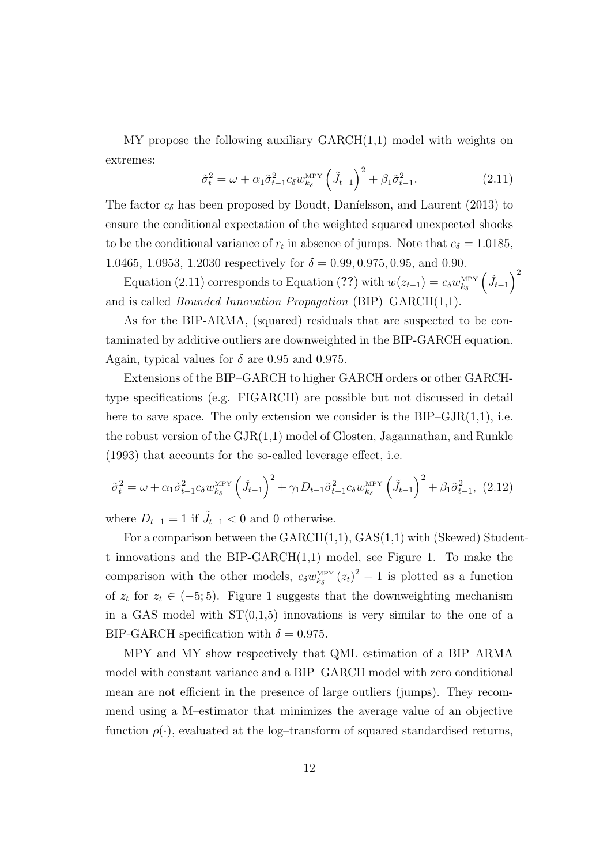$MY$  propose the following auxiliary  $GARCH(1,1)$  model with weights on extremes:

$$
\tilde{\sigma}_t^2 = \omega + \alpha_1 \tilde{\sigma}_{t-1}^2 c_\delta w_{k_\delta}^{\text{MPY}} \left(\tilde{J}_{t-1}\right)^2 + \beta_1 \tilde{\sigma}_{t-1}^2. \tag{2.11}
$$

The factor  $c_{\delta}$  has been proposed by Boudt, Daníelsson, and Laurent (2013) to ensure the conditional expectation of the weighted squared unexpected shocks to be the conditional variance of  $r_t$  in absence of jumps. Note that  $c_{\delta} = 1.0185$ , 1.0465, 1.0953, 1.2030 respectively for  $\delta = 0.99, 0.975, 0.95,$  and 0.90.

Equation (2.11) corresponds to Equation (??) with  $w(z_{t-1}) = c_{\delta} w_{k_{\delta}}^{\text{MPY}} \left(\tilde{J}_{t-1}\right)^2$ and is called Bounded Innovation Propagation (BIP)–GARCH(1,1).

As for the BIP-ARMA, (squared) residuals that are suspected to be contaminated by additive outliers are downweighted in the BIP-GARCH equation. Again, typical values for  $\delta$  are 0.95 and 0.975.

Extensions of the BIP–GARCH to higher GARCH orders or other GARCHtype specifications (e.g. FIGARCH) are possible but not discussed in detail here to save space. The only extension we consider is the  $BIP-GJR(1,1),$  i.e. the robust version of the GJR(1,1) model of Glosten, Jagannathan, and Runkle (1993) that accounts for the so-called leverage effect, i.e.

$$
\tilde{\sigma}_t^2 = \omega + \alpha_1 \tilde{\sigma}_{t-1}^2 c_{\delta} w_{k_{\delta}}^{\text{MPY}} \left( \tilde{J}_{t-1} \right)^2 + \gamma_1 D_{t-1} \tilde{\sigma}_{t-1}^2 c_{\delta} w_{k_{\delta}}^{\text{MPY}} \left( \tilde{J}_{t-1} \right)^2 + \beta_1 \tilde{\sigma}_{t-1}^2, \tag{2.12}
$$

where  $D_{t-1} = 1$  if  $\tilde{J}_{t-1} < 0$  and 0 otherwise.

For a comparison between the  $GARCH(1,1)$ ,  $GAS(1,1)$  with (Skewed) Studentt innovations and the BIP-GARCH(1,1) model, see Figure 1. To make the comparison with the other models,  $c_{\delta}w_{k_{\delta}}^{\text{MPY}}(z_t)^2 - 1$  is plotted as a function of  $z_t$  for  $z_t \in (-5, 5)$ . Figure 1 suggests that the downweighting mechanism in a GAS model with  $ST(0,1,5)$  innovations is very similar to the one of a BIP-GARCH specification with  $\delta = 0.975$ .

MPY and MY show respectively that QML estimation of a BIP–ARMA model with constant variance and a BIP–GARCH model with zero conditional mean are not efficient in the presence of large outliers (jumps). They recommend using a M–estimator that minimizes the average value of an objective function  $\rho(\cdot)$ , evaluated at the log-transform of squared standardised returns,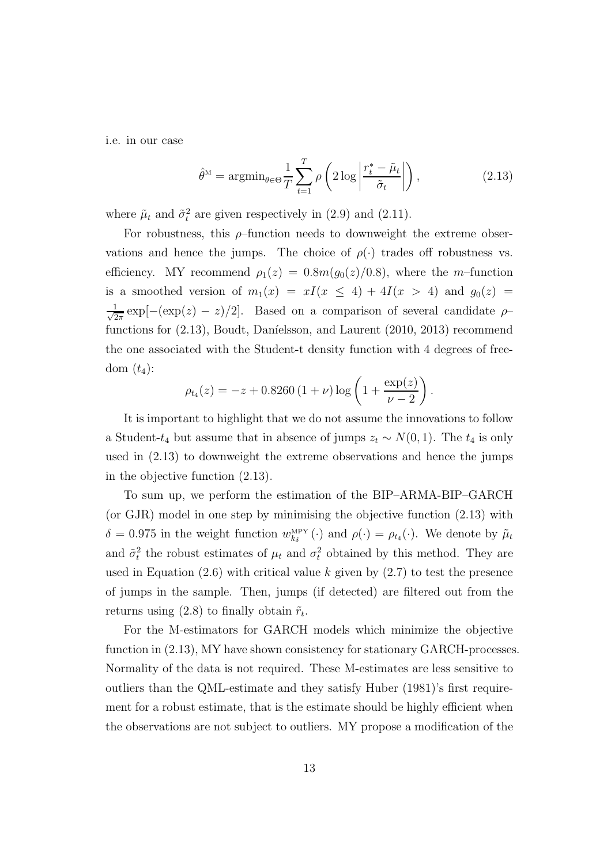i.e. in our case

$$
\hat{\theta}^{\mathcal{M}} = \operatorname{argmin}_{\theta \in \Theta} \frac{1}{T} \sum_{t=1}^{T} \rho \left( 2 \log \left| \frac{r_t^* - \tilde{\mu}_t}{\tilde{\sigma}_t} \right| \right), \tag{2.13}
$$

where  $\tilde{\mu}_t$  and  $\tilde{\sigma}_t^2$  are given respectively in (2.9) and (2.11).

For robustness, this  $\rho$ -function needs to downweight the extreme observations and hence the jumps. The choice of  $\rho(\cdot)$  trades off robustness vs. efficiency. MY recommend  $\rho_1(z) = 0.8m(g_0(z)/0.8)$ , where the m-function is a smoothed version of  $m_1(x) = xI(x \le 4) + 4I(x > 4)$  and  $g_0(z) =$ √ 1  $\frac{1}{2\pi} \exp[-(\exp(z) - z)/2]$ . Based on a comparison of several candidate  $\rho$ functions for  $(2.13)$ , Boudt, Daníelsson, and Laurent  $(2010, 2013)$  recommend the one associated with the Student-t density function with 4 degrees of freedom  $(t_4)$ :

$$
\rho_{t_4}(z) = -z + 0.8260 (1 + \nu) \log \left( 1 + \frac{\exp(z)}{\nu - 2} \right).
$$

It is important to highlight that we do not assume the innovations to follow a Student- $t_4$  but assume that in absence of jumps  $z_t \sim N(0, 1)$ . The  $t_4$  is only used in (2.13) to downweight the extreme observations and hence the jumps in the objective function (2.13).

To sum up, we perform the estimation of the BIP–ARMA-BIP–GARCH (or GJR) model in one step by minimising the objective function (2.13) with  $\delta = 0.975$  in the weight function  $w_{k_\delta}^{\text{MPY}}(\cdot)$  and  $\rho(\cdot) = \rho_{t_4}(\cdot)$ . We denote by  $\tilde{\mu}_t$ and  $\tilde{\sigma}_t^2$  the robust estimates of  $\mu_t$  and  $\sigma_t^2$  obtained by this method. They are used in Equation  $(2.6)$  with critical value k given by  $(2.7)$  to test the presence of jumps in the sample. Then, jumps (if detected) are filtered out from the returns using (2.8) to finally obtain  $\tilde{r}_t$ .

For the M-estimators for GARCH models which minimize the objective function in (2.13), MY have shown consistency for stationary GARCH-processes. Normality of the data is not required. These M-estimates are less sensitive to outliers than the QML-estimate and they satisfy Huber (1981)'s first requirement for a robust estimate, that is the estimate should be highly efficient when the observations are not subject to outliers. MY propose a modification of the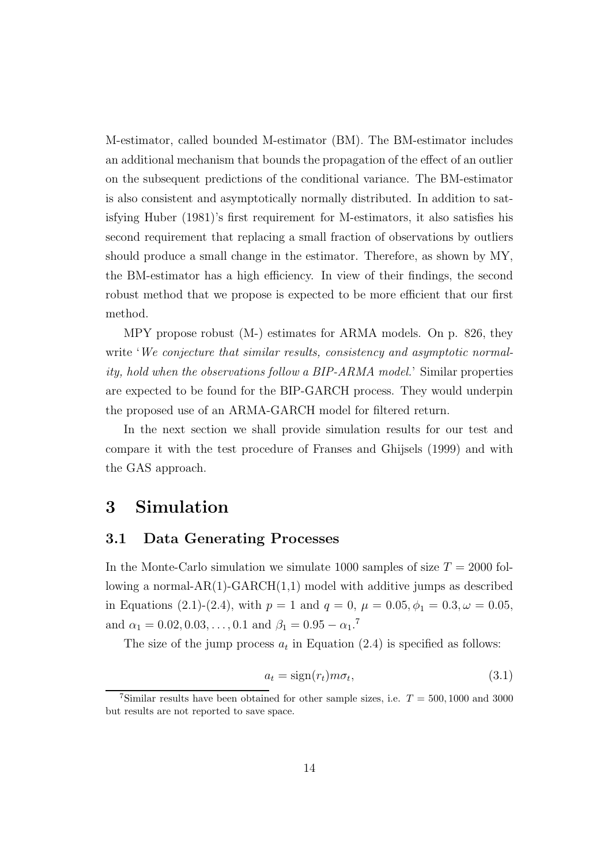M-estimator, called bounded M-estimator (BM). The BM-estimator includes an additional mechanism that bounds the propagation of the effect of an outlier on the subsequent predictions of the conditional variance. The BM-estimator is also consistent and asymptotically normally distributed. In addition to satisfying Huber (1981)'s first requirement for M-estimators, it also satisfies his second requirement that replacing a small fraction of observations by outliers should produce a small change in the estimator. Therefore, as shown by MY, the BM-estimator has a high efficiency. In view of their findings, the second robust method that we propose is expected to be more efficient that our first method.

MPY propose robust (M-) estimates for ARMA models. On p. 826, they write 'We conjecture that similar results, consistency and asymptotic normality, hold when the observations follow a BIP-ARMA model.' Similar properties are expected to be found for the BIP-GARCH process. They would underpin the proposed use of an ARMA-GARCH model for filtered return.

In the next section we shall provide simulation results for our test and compare it with the test procedure of Franses and Ghijsels (1999) and with the GAS approach.

### 3 Simulation

#### 3.1 Data Generating Processes

In the Monte-Carlo simulation we simulate 1000 samples of size  $T = 2000$  following a normal- $AR(1)$ -GARCH $(1,1)$  model with additive jumps as described in Equations (2.1)-(2.4), with  $p = 1$  and  $q = 0$ ,  $\mu = 0.05$ ,  $\phi_1 = 0.3$ ,  $\omega = 0.05$ , and  $\alpha_1 = 0.02, 0.03, \dots, 0.1$  and  $\beta_1 = 0.95 - \alpha_1$ .<sup>7</sup>

The size of the jump process  $a_t$  in Equation (2.4) is specified as follows:

$$
a_t = sign(r_t)m\sigma_t,\tag{3.1}
$$

<sup>&</sup>lt;sup>7</sup>Similar results have been obtained for other sample sizes, i.e.  $T = 500, 1000$  and 3000 but results are not reported to save space.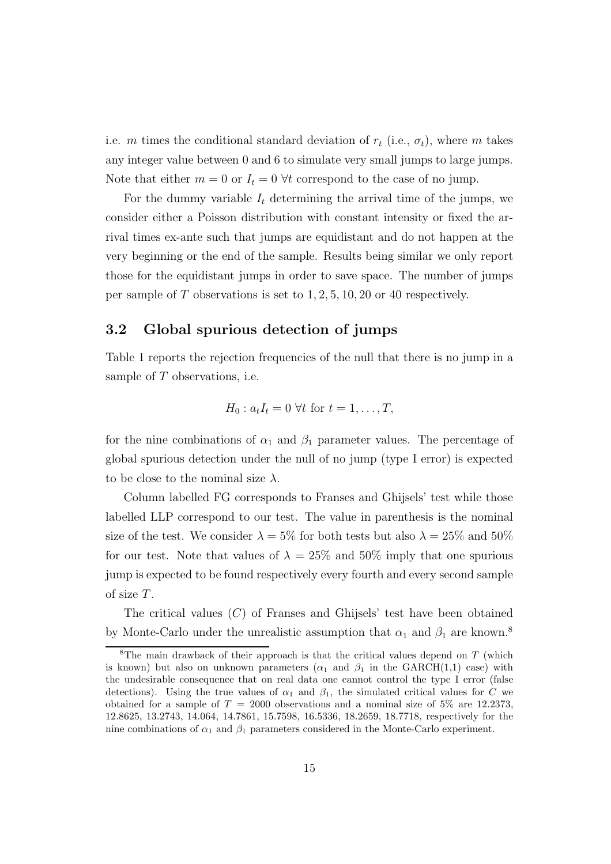i.e. m times the conditional standard deviation of  $r_t$  (i.e.,  $\sigma_t$ ), where m takes any integer value between 0 and 6 to simulate very small jumps to large jumps. Note that either  $m = 0$  or  $I_t = 0$   $\forall t$  correspond to the case of no jump.

For the dummy variable  $I_t$  determining the arrival time of the jumps, we consider either a Poisson distribution with constant intensity or fixed the arrival times ex-ante such that jumps are equidistant and do not happen at the very beginning or the end of the sample. Results being similar we only report those for the equidistant jumps in order to save space. The number of jumps per sample of  $T$  observations is set to  $1, 2, 5, 10, 20$  or 40 respectively.

#### 3.2 Global spurious detection of jumps

Table 1 reports the rejection frequencies of the null that there is no jump in a sample of T observations, i.e.

$$
H_0: a_t I_t = 0 \,\forall t \text{ for } t = 1, \ldots, T,
$$

for the nine combinations of  $\alpha_1$  and  $\beta_1$  parameter values. The percentage of global spurious detection under the null of no jump (type I error) is expected to be close to the nominal size  $\lambda$ .

Column labelled FG corresponds to Franses and Ghijsels' test while those labelled LLP correspond to our test. The value in parenthesis is the nominal size of the test. We consider  $\lambda = 5\%$  for both tests but also  $\lambda = 25\%$  and  $50\%$ for our test. Note that values of  $\lambda = 25\%$  and 50% imply that one spurious jump is expected to be found respectively every fourth and every second sample of size T.

The critical values  $(C)$  of Franses and Ghijsels' test have been obtained by Monte-Carlo under the unrealistic assumption that  $\alpha_1$  and  $\beta_1$  are known.<sup>8</sup>

<sup>&</sup>lt;sup>8</sup>The main drawback of their approach is that the critical values depend on  $T$  (which is known) but also on unknown parameters ( $\alpha_1$  and  $\beta_1$  in the GARCH(1,1) case) with the undesirable consequence that on real data one cannot control the type I error (false detections). Using the true values of  $\alpha_1$  and  $\beta_1$ , the simulated critical values for C we obtained for a sample of  $T = 2000$  observations and a nominal size of 5% are 12.2373, 12.8625, 13.2743, 14.064, 14.7861, 15.7598, 16.5336, 18.2659, 18.7718, respectively for the nine combinations of  $\alpha_1$  and  $\beta_1$  parameters considered in the Monte-Carlo experiment.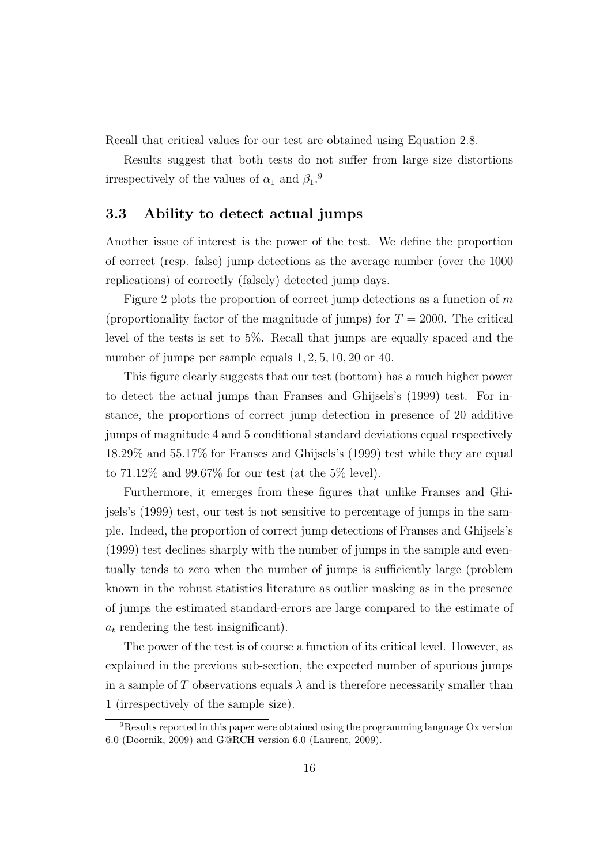Recall that critical values for our test are obtained using Equation 2.8.

Results suggest that both tests do not suffer from large size distortions irrespectively of the values of  $\alpha_1$  and  $\beta_1$ .<sup>9</sup>

#### 3.3 Ability to detect actual jumps

Another issue of interest is the power of the test. We define the proportion of correct (resp. false) jump detections as the average number (over the 1000 replications) of correctly (falsely) detected jump days.

Figure 2 plots the proportion of correct jump detections as a function of  $m$ (proportionality factor of the magnitude of jumps) for  $T = 2000$ . The critical level of the tests is set to 5%. Recall that jumps are equally spaced and the number of jumps per sample equals  $1, 2, 5, 10, 20$  or 40.

This figure clearly suggests that our test (bottom) has a much higher power to detect the actual jumps than Franses and Ghijsels's (1999) test. For instance, the proportions of correct jump detection in presence of 20 additive jumps of magnitude 4 and 5 conditional standard deviations equal respectively 18.29% and 55.17% for Franses and Ghijsels's (1999) test while they are equal to  $71.12\%$  and  $99.67\%$  for our test (at the 5% level).

Furthermore, it emerges from these figures that unlike Franses and Ghijsels's (1999) test, our test is not sensitive to percentage of jumps in the sample. Indeed, the proportion of correct jump detections of Franses and Ghijsels's (1999) test declines sharply with the number of jumps in the sample and eventually tends to zero when the number of jumps is sufficiently large (problem known in the robust statistics literature as outlier masking as in the presence of jumps the estimated standard-errors are large compared to the estimate of  $a_t$  rendering the test insignificant).

The power of the test is of course a function of its critical level. However, as explained in the previous sub-section, the expected number of spurious jumps in a sample of T observations equals  $\lambda$  and is therefore necessarily smaller than 1 (irrespectively of the sample size).

<sup>&</sup>lt;sup>9</sup>Results reported in this paper were obtained using the programming language Ox version 6.0 (Doornik, 2009) and G@RCH version 6.0 (Laurent, 2009).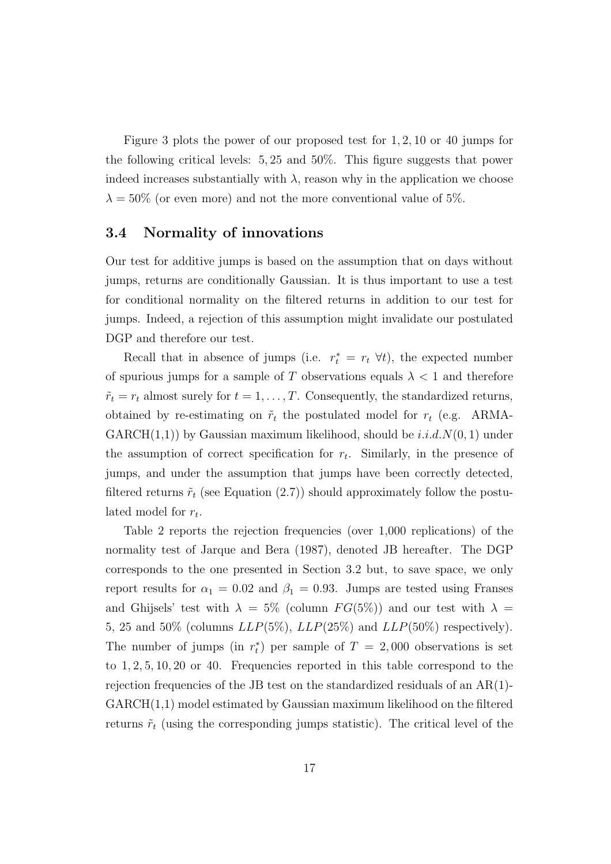Figure 3 plots the power of our proposed test for 1, 2, 10 or 40 jumps for the following critical levels: 5, 25 and 50%. This figure suggests that power indeed increases substantially with  $\lambda$ , reason why in the application we choose  $\lambda = 50\%$  (or even more) and not the more conventional value of 5%.

#### 3.4 Normality of innovations

Our test for additive jumps is based on the assumption that on days without jumps, returns are conditionally Gaussian. It is thus important to use a test for conditional normality on the filtered returns in addition to our test for jumps. Indeed, a rejection of this assumption might invalidate our postulated DGP and therefore our test.

Recall that in absence of jumps (i.e.  $r_t^* = r_t \ \forall t$ ), the expected number of spurious jumps for a sample of T observations equals  $\lambda < 1$  and therefore  $\tilde{r}_t = r_t$  almost surely for  $t = 1, \ldots, T$ . Consequently, the standardized returns, obtained by re-estimating on  $\tilde{r}_t$  the postulated model for  $r_t$  (e.g. ARMA- $GARCH(1,1)$  by Gaussian maximum likelihood, should be  $i.i.d. N(0, 1)$  under the assumption of correct specification for  $r_t$ . Similarly, in the presence of jumps, and under the assumption that jumps have been correctly detected, filtered returns  $\tilde{r}_t$  (see Equation (2.7)) should approximately follow the postulated model for  $r_t$ .

Table 2 reports the rejection frequencies (over 1,000 replications) of the normality test of Jarque and Bera (1987), denoted JB hereafter. The DGP corresponds to the one presented in Section 3.2 but, to save space, we only report results for  $\alpha_1 = 0.02$  and  $\beta_1 = 0.93$ . Jumps are tested using Franses and Ghijsels' test with  $\lambda = 5\%$  (column  $FG(5\%)$ ) and our test with  $\lambda =$ 5, 25 and 50% (columns  $LLP(5\%)$ ,  $LLP(25\%)$  and  $LLP(50\%)$  respectively). The number of jumps (in  $r_t^*$ ) per sample of  $T = 2,000$  observations is set to 1, 2, 5, 10, 20 or 40. Frequencies reported in this table correspond to the rejection frequencies of the JB test on the standardized residuals of an AR(1)-  $GARCH(1,1)$  model estimated by Gaussian maximum likelihood on the filtered returns  $\tilde{r}_t$  (using the corresponding jumps statistic). The critical level of the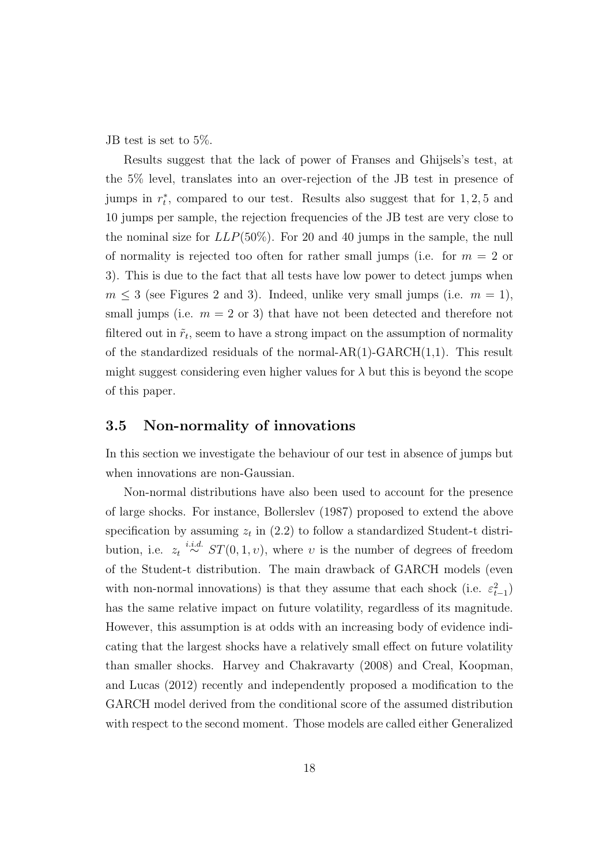JB test is set to 5%.

Results suggest that the lack of power of Franses and Ghijsels's test, at the 5% level, translates into an over-rejection of the JB test in presence of jumps in  $r_t^*$ , compared to our test. Results also suggest that for 1,2,5 and 10 jumps per sample, the rejection frequencies of the JB test are very close to the nominal size for  $LLP(50\%)$ . For 20 and 40 jumps in the sample, the null of normality is rejected too often for rather small jumps (i.e. for  $m = 2$  or 3). This is due to the fact that all tests have low power to detect jumps when  $m \leq 3$  (see Figures 2 and 3). Indeed, unlike very small jumps (i.e.  $m = 1$ ), small jumps (i.e.  $m = 2$  or 3) that have not been detected and therefore not filtered out in  $\tilde{r}_t$ , seem to have a strong impact on the assumption of normality of the standardized residuals of the normal- $AR(1)$ - $GARCH(1,1)$ . This result might suggest considering even higher values for  $\lambda$  but this is beyond the scope of this paper.

#### 3.5 Non-normality of innovations

In this section we investigate the behaviour of our test in absence of jumps but when innovations are non-Gaussian.

Non-normal distributions have also been used to account for the presence of large shocks. For instance, Bollerslev (1987) proposed to extend the above specification by assuming  $z_t$  in (2.2) to follow a standardized Student-t distribution, i.e.  $z_t \stackrel{i.i.d.}{\sim} ST(0, 1, v)$ , where v is the number of degrees of freedom of the Student-t distribution. The main drawback of GARCH models (even with non-normal innovations) is that they assume that each shock (i.e.  $\varepsilon_{t-1}^2$ ) has the same relative impact on future volatility, regardless of its magnitude. However, this assumption is at odds with an increasing body of evidence indicating that the largest shocks have a relatively small effect on future volatility than smaller shocks. Harvey and Chakravarty (2008) and Creal, Koopman, and Lucas (2012) recently and independently proposed a modification to the GARCH model derived from the conditional score of the assumed distribution with respect to the second moment. Those models are called either Generalized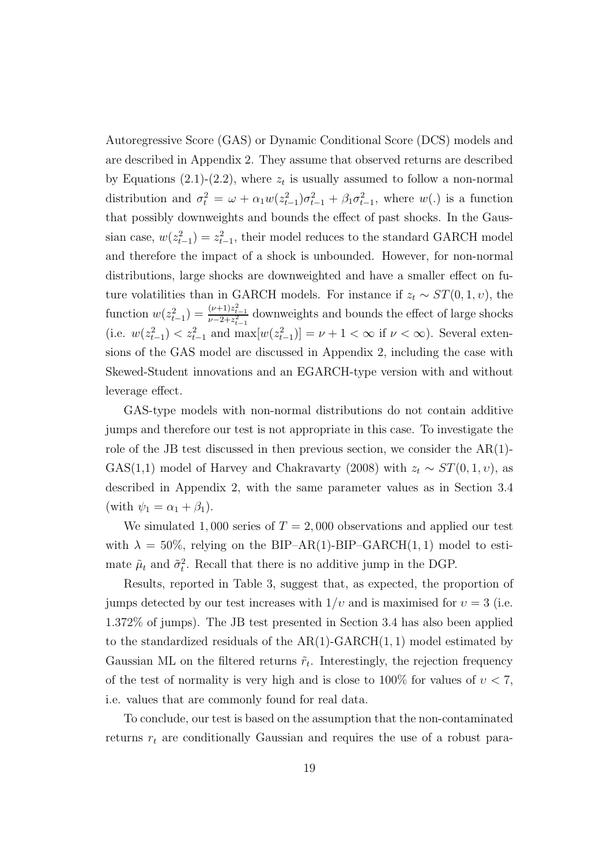Autoregressive Score (GAS) or Dynamic Conditional Score (DCS) models and are described in Appendix 2. They assume that observed returns are described by Equations (2.1)-(2.2), where  $z_t$  is usually assumed to follow a non-normal distribution and  $\sigma_t^2 = \omega + \alpha_1 w(z_{t-1}^2) \sigma_{t-1}^2 + \beta_1 \sigma_{t-1}^2$ , where  $w(.)$  is a function that possibly downweights and bounds the effect of past shocks. In the Gaussian case,  $w(z_{t-1}^2) = z_{t-1}^2$ , their model reduces to the standard GARCH model and therefore the impact of a shock is unbounded. However, for non-normal distributions, large shocks are downweighted and have a smaller effect on future volatilities than in GARCH models. For instance if  $z_t \sim ST(0, 1, v)$ , the function  $w(z_{t-1}^2) = \frac{(\nu+1)z_{t-1}^2}{\nu-2+z_{t-1}^2}$  $\frac{(\nu+1)z_{t-1}}{\nu-2+z_{t-1}^2}$  downweights and bounds the effect of large shocks (i.e.  $w(z_{t-1}^2) < z_{t-1}^2$  and  $\max[w(z_{t-1}^2)] = \nu + 1 < \infty$  if  $\nu < \infty$ ). Several extensions of the GAS model are discussed in Appendix 2, including the case with Skewed-Student innovations and an EGARCH-type version with and without leverage effect.

GAS-type models with non-normal distributions do not contain additive jumps and therefore our test is not appropriate in this case. To investigate the role of the JB test discussed in then previous section, we consider the AR(1)- GAS(1,1) model of Harvey and Chakravarty (2008) with  $z_t \sim ST(0, 1, v)$ , as described in Appendix 2, with the same parameter values as in Section 3.4 (with  $\psi_1 = \alpha_1 + \beta_1$ ).

We simulated 1,000 series of  $T = 2,000$  observations and applied our test with  $\lambda = 50\%$ , relying on the BIP–AR(1)-BIP–GARCH(1,1) model to estimate  $\tilde{\mu}_t$  and  $\tilde{\sigma}_t^2$ . Recall that there is no additive jump in the DGP.

Results, reported in Table 3, suggest that, as expected, the proportion of jumps detected by our test increases with  $1/v$  and is maximised for  $v = 3$  (i.e. 1.372% of jumps). The JB test presented in Section 3.4 has also been applied to the standardized residuals of the  $AR(1)-GARCH(1, 1)$  model estimated by Gaussian ML on the filtered returns  $\tilde{r}_t$ . Interestingly, the rejection frequency of the test of normality is very high and is close to  $100\%$  for values of  $v < 7$ , i.e. values that are commonly found for real data.

To conclude, our test is based on the assumption that the non-contaminated returns  $r_t$  are conditionally Gaussian and requires the use of a robust para-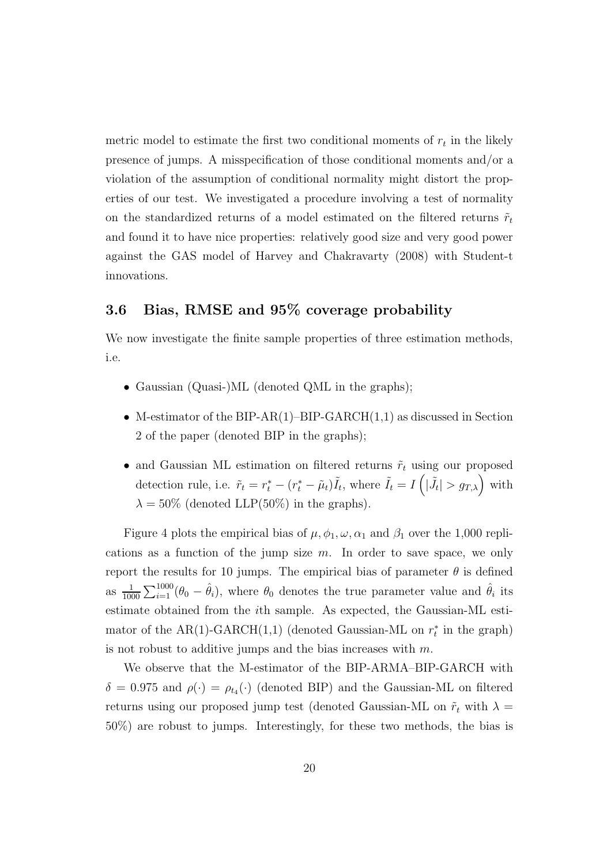metric model to estimate the first two conditional moments of  $r_t$  in the likely presence of jumps. A misspecification of those conditional moments and/or a violation of the assumption of conditional normality might distort the properties of our test. We investigated a procedure involving a test of normality on the standardized returns of a model estimated on the filtered returns  $\tilde{r}_t$ and found it to have nice properties: relatively good size and very good power against the GAS model of Harvey and Chakravarty (2008) with Student-t innovations.

#### 3.6 Bias, RMSE and 95% coverage probability

We now investigate the finite sample properties of three estimation methods, i.e.

- Gaussian (Quasi-)ML (denoted QML in the graphs);
- M-estimator of the BIP-AR(1)–BIP-GARCH $(1,1)$  as discussed in Section 2 of the paper (denoted BIP in the graphs);
- and Gaussian ML estimation on filtered returns  $\tilde{r}_t$  using our proposed detection rule, i.e.  $\tilde{r}_t = r_t^* - (r_t^* - \tilde{\mu}_t) \tilde{I}_t$ , where  $\tilde{I}_t = I\left(|\tilde{J}_t| > g_{T,\lambda}\right)$  with  $\lambda = 50\%$  (denoted LLP(50%) in the graphs).

Figure 4 plots the empirical bias of  $\mu$ ,  $\phi_1$ ,  $\omega$ ,  $\alpha_1$  and  $\beta_1$  over the 1,000 replications as a function of the jump size  $m$ . In order to save space, we only report the results for 10 jumps. The empirical bias of parameter  $\theta$  is defined as  $\frac{1}{1000} \sum_{i=1}^{1000} (\theta_0 - \hat{\theta}_i)$ , where  $\theta_0$  denotes the true parameter value and  $\hat{\theta}_i$  its estimate obtained from the ith sample. As expected, the Gaussian-ML estimator of the AR(1)-GARCH(1,1) (denoted Gaussian-ML on  $r_t^*$  in the graph) is not robust to additive jumps and the bias increases with  $m$ .

We observe that the M-estimator of the BIP-ARMA–BIP-GARCH with  $\delta = 0.975$  and  $\rho(\cdot) = \rho_{t_4}(\cdot)$  (denoted BIP) and the Gaussian-ML on filtered returns using our proposed jump test (denoted Gaussian-ML on  $\tilde{r}_t$  with  $\lambda =$ 50%) are robust to jumps. Interestingly, for these two methods, the bias is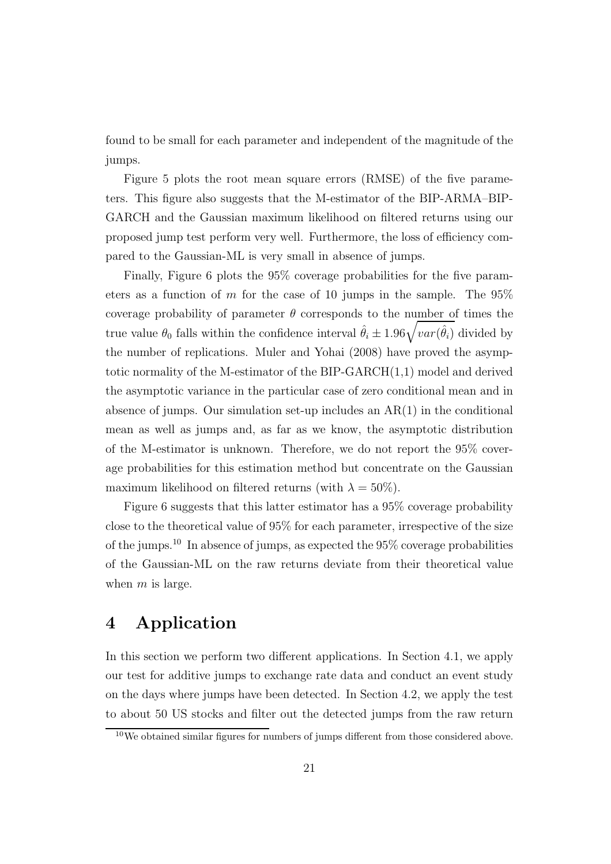found to be small for each parameter and independent of the magnitude of the jumps.

Figure 5 plots the root mean square errors (RMSE) of the five parameters. This figure also suggests that the M-estimator of the BIP-ARMA–BIP-GARCH and the Gaussian maximum likelihood on filtered returns using our proposed jump test perform very well. Furthermore, the loss of efficiency compared to the Gaussian-ML is very small in absence of jumps.

Finally, Figure 6 plots the 95% coverage probabilities for the five parameters as a function of m for the case of 10 jumps in the sample. The  $95\%$ coverage probability of parameter  $\theta$  corresponds to the number of times the true value  $\theta_0$  falls within the confidence interval  $\hat{\theta}_i \pm 1.96\sqrt{var(\hat{\theta}_i)}$  divided by the number of replications. Muler and Yohai (2008) have proved the asymptotic normality of the M-estimator of the BIP-GARCH(1,1) model and derived the asymptotic variance in the particular case of zero conditional mean and in absence of jumps. Our simulation set-up includes an  $AR(1)$  in the conditional mean as well as jumps and, as far as we know, the asymptotic distribution of the M-estimator is unknown. Therefore, we do not report the 95% coverage probabilities for this estimation method but concentrate on the Gaussian maximum likelihood on filtered returns (with  $\lambda = 50\%$ ).

Figure 6 suggests that this latter estimator has a 95% coverage probability close to the theoretical value of 95% for each parameter, irrespective of the size of the jumps.<sup>10</sup> In absence of jumps, as expected the  $95\%$  coverage probabilities of the Gaussian-ML on the raw returns deviate from their theoretical value when  $m$  is large.

### 4 Application

In this section we perform two different applications. In Section 4.1, we apply our test for additive jumps to exchange rate data and conduct an event study on the days where jumps have been detected. In Section 4.2, we apply the test to about 50 US stocks and filter out the detected jumps from the raw return

<sup>&</sup>lt;sup>10</sup>We obtained similar figures for numbers of jumps different from those considered above.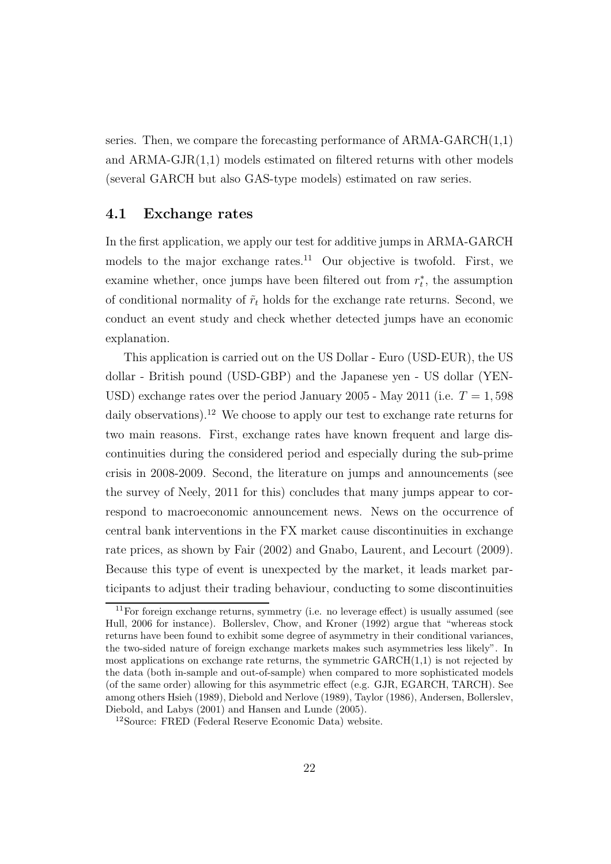series. Then, we compare the forecasting performance of  $ARMA-GARCH(1,1)$ and ARMA-GJR(1,1) models estimated on filtered returns with other models (several GARCH but also GAS-type models) estimated on raw series.

#### 4.1 Exchange rates

In the first application, we apply our test for additive jumps in ARMA-GARCH models to the major exchange rates.<sup>11</sup> Our objective is twofold. First, we examine whether, once jumps have been filtered out from  $r_t^*$ , the assumption of conditional normality of  $\tilde{r}_t$  holds for the exchange rate returns. Second, we conduct an event study and check whether detected jumps have an economic explanation.

This application is carried out on the US Dollar - Euro (USD-EUR), the US dollar - British pound (USD-GBP) and the Japanese yen - US dollar (YEN-USD) exchange rates over the period January 2005 - May 2011 (i.e.  $T = 1,598$ ) daily observations).<sup>12</sup> We choose to apply our test to exchange rate returns for two main reasons. First, exchange rates have known frequent and large discontinuities during the considered period and especially during the sub-prime crisis in 2008-2009. Second, the literature on jumps and announcements (see the survey of Neely, 2011 for this) concludes that many jumps appear to correspond to macroeconomic announcement news. News on the occurrence of central bank interventions in the FX market cause discontinuities in exchange rate prices, as shown by Fair (2002) and Gnabo, Laurent, and Lecourt (2009). Because this type of event is unexpected by the market, it leads market participants to adjust their trading behaviour, conducting to some discontinuities

 $11$ For foreign exchange returns, symmetry (i.e. no leverage effect) is usually assumed (see Hull, 2006 for instance). Bollerslev, Chow, and Kroner (1992) argue that "whereas stock returns have been found to exhibit some degree of asymmetry in their conditional variances, the two-sided nature of foreign exchange markets makes such asymmetries less likely". In most applications on exchange rate returns, the symmetric  $GARCH(1,1)$  is not rejected by the data (both in-sample and out-of-sample) when compared to more sophisticated models (of the same order) allowing for this asymmetric effect (e.g. GJR, EGARCH, TARCH). See among others Hsieh (1989), Diebold and Nerlove (1989), Taylor (1986), Andersen, Bollerslev, Diebold, and Labys (2001) and Hansen and Lunde (2005).

<sup>12</sup>Source: FRED (Federal Reserve Economic Data) website.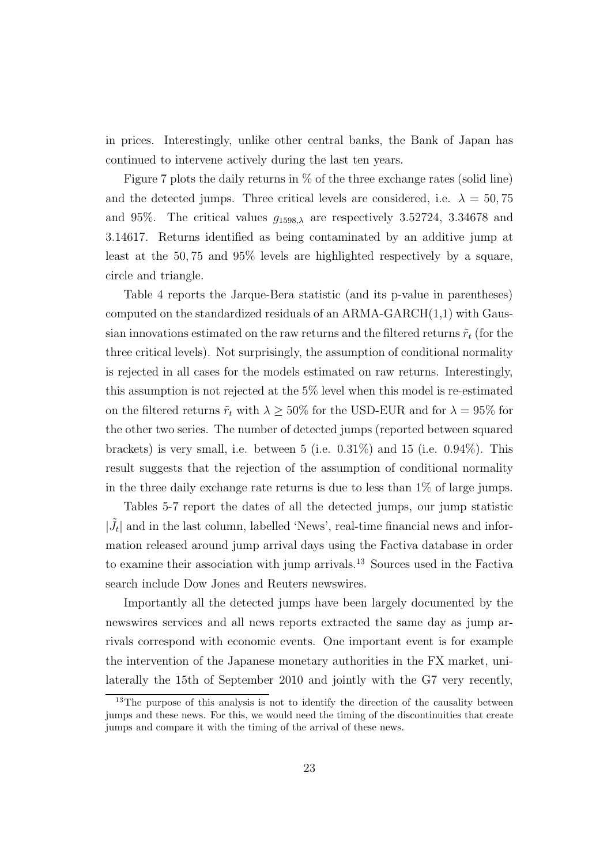in prices. Interestingly, unlike other central banks, the Bank of Japan has continued to intervene actively during the last ten years.

Figure 7 plots the daily returns in % of the three exchange rates (solid line) and the detected jumps. Three critical levels are considered, i.e.  $\lambda = 50, 75$ and 95%. The critical values  $g_{1598,\lambda}$  are respectively 3.52724, 3.34678 and 3.14617. Returns identified as being contaminated by an additive jump at least at the 50, 75 and 95% levels are highlighted respectively by a square, circle and triangle.

Table 4 reports the Jarque-Bera statistic (and its p-value in parentheses) computed on the standardized residuals of an ARMA-GARCH $(1,1)$  with Gaussian innovations estimated on the raw returns and the filtered returns  $\tilde{r}_t$  (for the three critical levels). Not surprisingly, the assumption of conditional normality is rejected in all cases for the models estimated on raw returns. Interestingly, this assumption is not rejected at the 5% level when this model is re-estimated on the filtered returns  $\tilde{r}_t$  with  $\lambda \geq 50\%$  for the USD-EUR and for  $\lambda = 95\%$  for the other two series. The number of detected jumps (reported between squared brackets) is very small, i.e. between  $5$  (i.e.  $0.31\%$ ) and  $15$  (i.e.  $0.94\%$ ). This result suggests that the rejection of the assumption of conditional normality in the three daily exchange rate returns is due to less than 1% of large jumps.

Tables 5-7 report the dates of all the detected jumps, our jump statistic  $|\tilde{J}_t|$  and in the last column, labelled 'News', real-time financial news and information released around jump arrival days using the Factiva database in order to examine their association with jump arrivals.<sup>13</sup> Sources used in the Factiva search include Dow Jones and Reuters newswires.

Importantly all the detected jumps have been largely documented by the newswires services and all news reports extracted the same day as jump arrivals correspond with economic events. One important event is for example the intervention of the Japanese monetary authorities in the FX market, unilaterally the 15th of September 2010 and jointly with the G7 very recently,

<sup>&</sup>lt;sup>13</sup>The purpose of this analysis is not to identify the direction of the causality between jumps and these news. For this, we would need the timing of the discontinuities that create jumps and compare it with the timing of the arrival of these news.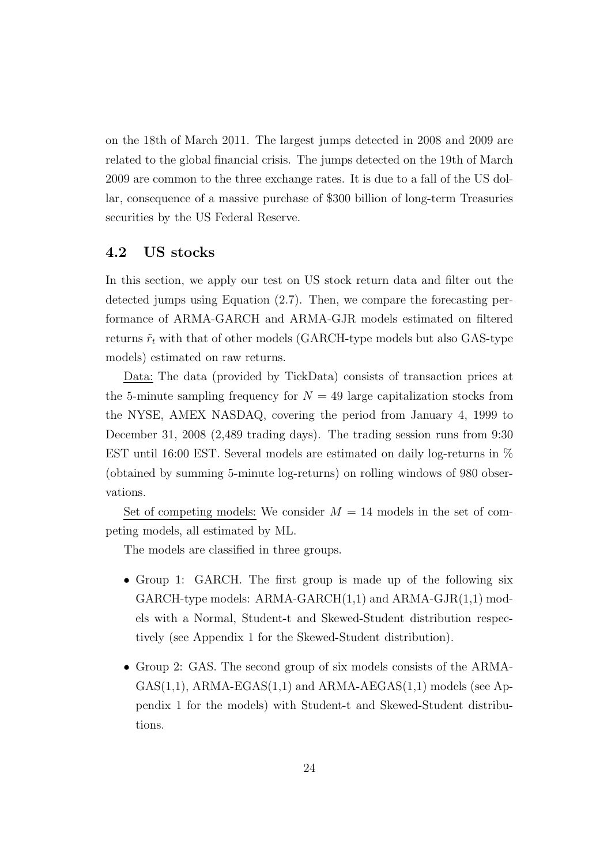on the 18th of March 2011. The largest jumps detected in 2008 and 2009 are related to the global financial crisis. The jumps detected on the 19th of March 2009 are common to the three exchange rates. It is due to a fall of the US dollar, consequence of a massive purchase of \$300 billion of long-term Treasuries securities by the US Federal Reserve.

#### 4.2 US stocks

In this section, we apply our test on US stock return data and filter out the detected jumps using Equation (2.7). Then, we compare the forecasting performance of ARMA-GARCH and ARMA-GJR models estimated on filtered returns  $\tilde{r}_t$  with that of other models (GARCH-type models but also GAS-type models) estimated on raw returns.

Data: The data (provided by TickData) consists of transaction prices at the 5-minute sampling frequency for  $N = 49$  large capitalization stocks from the NYSE, AMEX NASDAQ, covering the period from January 4, 1999 to December 31, 2008 (2,489 trading days). The trading session runs from 9:30 EST until 16:00 EST. Several models are estimated on daily log-returns in % (obtained by summing 5-minute log-returns) on rolling windows of 980 observations.

Set of competing models: We consider  $M = 14$  models in the set of competing models, all estimated by ML.

The models are classified in three groups.

- Group 1: GARCH. The first group is made up of the following six GARCH-type models:  $ARMA-GARCH(1,1)$  and  $ARMA-GJR(1,1)$  models with a Normal, Student-t and Skewed-Student distribution respectively (see Appendix 1 for the Skewed-Student distribution).
- Group 2: GAS. The second group of six models consists of the ARMA- $GAS(1,1)$ , ARMA-EGAS $(1,1)$  and ARMA-AEGAS $(1,1)$  models (see Appendix 1 for the models) with Student-t and Skewed-Student distributions.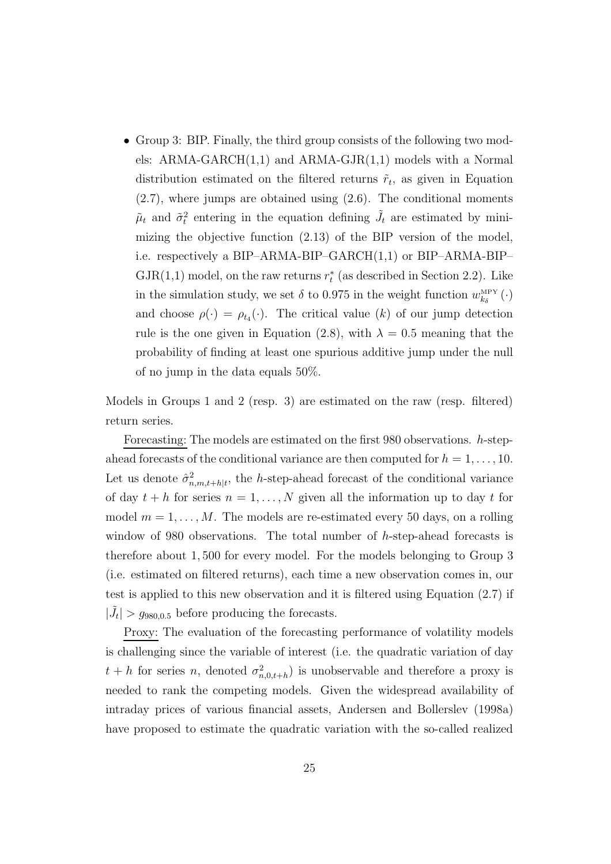• Group 3: BIP. Finally, the third group consists of the following two models: ARMA-GARCH(1,1) and ARMA-GJR(1,1) models with a Normal distribution estimated on the filtered returns  $\tilde{r}_t$ , as given in Equation (2.7), where jumps are obtained using (2.6). The conditional moments  $\tilde{\mu}_t$  and  $\tilde{\sigma}_t^2$  entering in the equation defining  $\tilde{J}_t$  are estimated by minimizing the objective function (2.13) of the BIP version of the model, i.e. respectively a BIP–ARMA-BIP–GARCH(1,1) or BIP–ARMA-BIP–  $\text{GJR}(1,1)$  model, on the raw returns  $r_t^*$  (as described in Section 2.2). Like in the simulation study, we set  $\delta$  to 0.975 in the weight function  $w_{k_{\delta}}^{\text{\tiny{MPY}}}(\cdot)$ and choose  $\rho(\cdot) = \rho_{t_4}(\cdot)$ . The critical value  $(k)$  of our jump detection rule is the one given in Equation (2.8), with  $\lambda = 0.5$  meaning that the probability of finding at least one spurious additive jump under the null of no jump in the data equals 50%.

Models in Groups 1 and 2 (resp. 3) are estimated on the raw (resp. filtered) return series.

Forecasting: The models are estimated on the first 980 observations. h-stepahead forecasts of the conditional variance are then computed for  $h = 1, \ldots, 10$ . Let us denote  $\hat{\sigma}_{n,m,t+h|t}^2$ , the h-step-ahead forecast of the conditional variance of day  $t + h$  for series  $n = 1, ..., N$  given all the information up to day t for model  $m = 1, \ldots, M$ . The models are re-estimated every 50 days, on a rolling window of 980 observations. The total number of h-step-ahead forecasts is therefore about 1, 500 for every model. For the models belonging to Group 3 (i.e. estimated on filtered returns), each time a new observation comes in, our test is applied to this new observation and it is filtered using Equation (2.7) if  $|\tilde{J}_t| > g_{980,0.5}$  before producing the forecasts.

Proxy: The evaluation of the forecasting performance of volatility models is challenging since the variable of interest (i.e. the quadratic variation of day  $t + h$  for series n, denoted  $\sigma_{n,0,t+h}^2$  is unobservable and therefore a proxy is needed to rank the competing models. Given the widespread availability of intraday prices of various financial assets, Andersen and Bollerslev (1998a) have proposed to estimate the quadratic variation with the so-called realized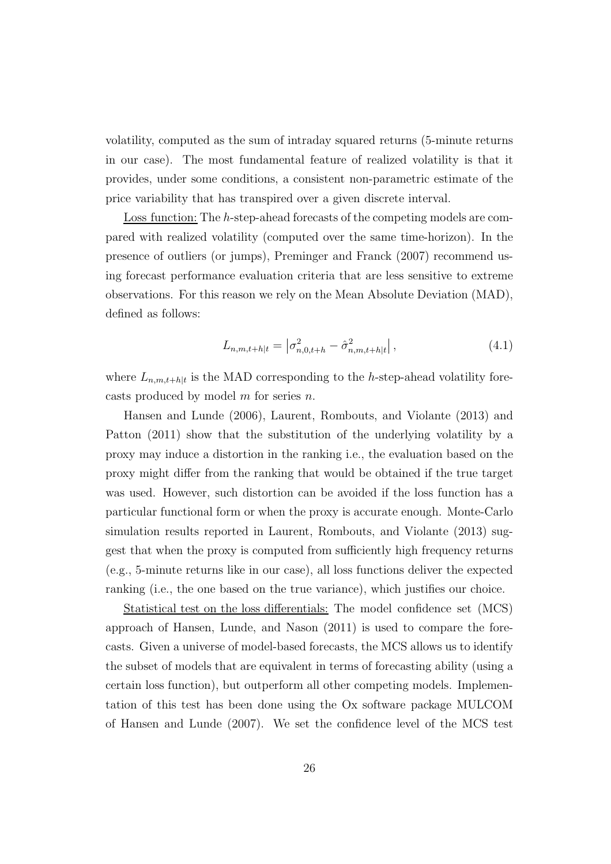volatility, computed as the sum of intraday squared returns (5-minute returns in our case). The most fundamental feature of realized volatility is that it provides, under some conditions, a consistent non-parametric estimate of the price variability that has transpired over a given discrete interval.

Loss function: The h-step-ahead forecasts of the competing models are compared with realized volatility (computed over the same time-horizon). In the presence of outliers (or jumps), Preminger and Franck (2007) recommend using forecast performance evaluation criteria that are less sensitive to extreme observations. For this reason we rely on the Mean Absolute Deviation (MAD), defined as follows:

$$
L_{n,m,t+h|t} = \left| \sigma_{n,0,t+h}^2 - \hat{\sigma}_{n,m,t+h|t}^2 \right|,\tag{4.1}
$$

where  $L_{n,m,t+h|t}$  is the MAD corresponding to the h-step-ahead volatility forecasts produced by model  $m$  for series  $n$ .

Hansen and Lunde (2006), Laurent, Rombouts, and Violante (2013) and Patton (2011) show that the substitution of the underlying volatility by a proxy may induce a distortion in the ranking i.e., the evaluation based on the proxy might differ from the ranking that would be obtained if the true target was used. However, such distortion can be avoided if the loss function has a particular functional form or when the proxy is accurate enough. Monte-Carlo simulation results reported in Laurent, Rombouts, and Violante (2013) suggest that when the proxy is computed from sufficiently high frequency returns (e.g., 5-minute returns like in our case), all loss functions deliver the expected ranking (i.e., the one based on the true variance), which justifies our choice.

Statistical test on the loss differentials: The model confidence set (MCS) approach of Hansen, Lunde, and Nason (2011) is used to compare the forecasts. Given a universe of model-based forecasts, the MCS allows us to identify the subset of models that are equivalent in terms of forecasting ability (using a certain loss function), but outperform all other competing models. Implementation of this test has been done using the Ox software package MULCOM of Hansen and Lunde (2007). We set the confidence level of the MCS test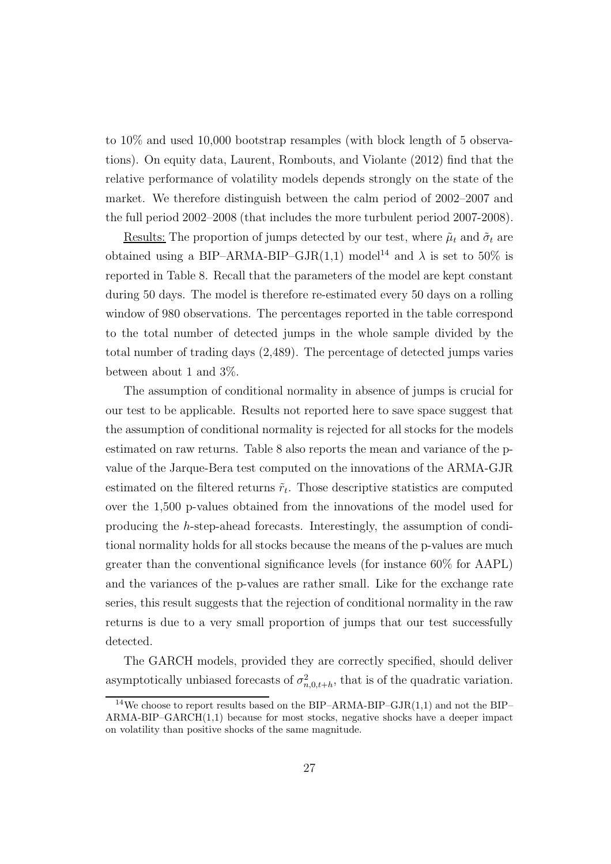to 10% and used 10,000 bootstrap resamples (with block length of 5 observations). On equity data, Laurent, Rombouts, and Violante (2012) find that the relative performance of volatility models depends strongly on the state of the market. We therefore distinguish between the calm period of 2002–2007 and the full period 2002–2008 (that includes the more turbulent period 2007-2008).

Results: The proportion of jumps detected by our test, where  $\tilde{\mu}_t$  and  $\tilde{\sigma}_t$  are obtained using a BIP–ARMA-BIP–GJR(1,1) model<sup>14</sup> and  $\lambda$  is set to 50% is reported in Table 8. Recall that the parameters of the model are kept constant during 50 days. The model is therefore re-estimated every 50 days on a rolling window of 980 observations. The percentages reported in the table correspond to the total number of detected jumps in the whole sample divided by the total number of trading days (2,489). The percentage of detected jumps varies between about 1 and 3%.

The assumption of conditional normality in absence of jumps is crucial for our test to be applicable. Results not reported here to save space suggest that the assumption of conditional normality is rejected for all stocks for the models estimated on raw returns. Table 8 also reports the mean and variance of the pvalue of the Jarque-Bera test computed on the innovations of the ARMA-GJR estimated on the filtered returns  $\tilde{r}_t$ . Those descriptive statistics are computed over the 1,500 p-values obtained from the innovations of the model used for producing the h-step-ahead forecasts. Interestingly, the assumption of conditional normality holds for all stocks because the means of the p-values are much greater than the conventional significance levels (for instance 60% for AAPL) and the variances of the p-values are rather small. Like for the exchange rate series, this result suggests that the rejection of conditional normality in the raw returns is due to a very small proportion of jumps that our test successfully detected.

The GARCH models, provided they are correctly specified, should deliver asymptotically unbiased forecasts of  $\sigma_{n,0,t+h}^2$ , that is of the quadratic variation.

<sup>&</sup>lt;sup>14</sup>We choose to report results based on the BIP–ARMA-BIP–GJR $(1,1)$  and not the BIP–  $ARMA-BIP-GARCH(1,1)$  because for most stocks, negative shocks have a deeper impact on volatility than positive shocks of the same magnitude.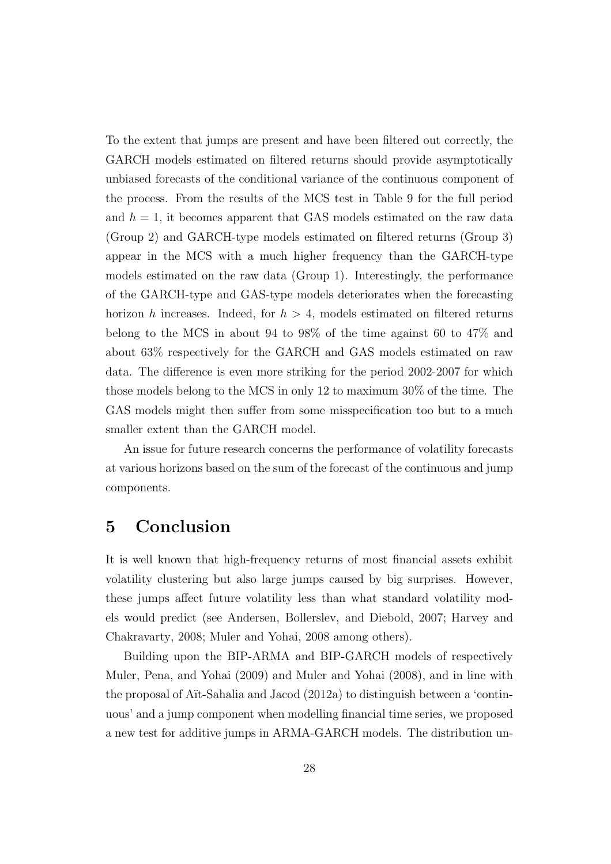To the extent that jumps are present and have been filtered out correctly, the GARCH models estimated on filtered returns should provide asymptotically unbiased forecasts of the conditional variance of the continuous component of the process. From the results of the MCS test in Table 9 for the full period and  $h = 1$ , it becomes apparent that GAS models estimated on the raw data (Group 2) and GARCH-type models estimated on filtered returns (Group 3) appear in the MCS with a much higher frequency than the GARCH-type models estimated on the raw data (Group 1). Interestingly, the performance of the GARCH-type and GAS-type models deteriorates when the forecasting horizon h increases. Indeed, for  $h > 4$ , models estimated on filtered returns belong to the MCS in about 94 to 98% of the time against 60 to 47% and about 63% respectively for the GARCH and GAS models estimated on raw data. The difference is even more striking for the period 2002-2007 for which those models belong to the MCS in only 12 to maximum 30% of the time. The GAS models might then suffer from some misspecification too but to a much smaller extent than the GARCH model.

An issue for future research concerns the performance of volatility forecasts at various horizons based on the sum of the forecast of the continuous and jump components.

### 5 Conclusion

It is well known that high-frequency returns of most financial assets exhibit volatility clustering but also large jumps caused by big surprises. However, these jumps affect future volatility less than what standard volatility models would predict (see Andersen, Bollerslev, and Diebold, 2007; Harvey and Chakravarty, 2008; Muler and Yohai, 2008 among others).

Building upon the BIP-ARMA and BIP-GARCH models of respectively Muler, Pena, and Yohai (2009) and Muler and Yohai (2008), and in line with the proposal of Aït-Sahalia and Jacod  $(2012a)$  to distinguish between a 'continuous' and a jump component when modelling financial time series, we proposed a new test for additive jumps in ARMA-GARCH models. The distribution un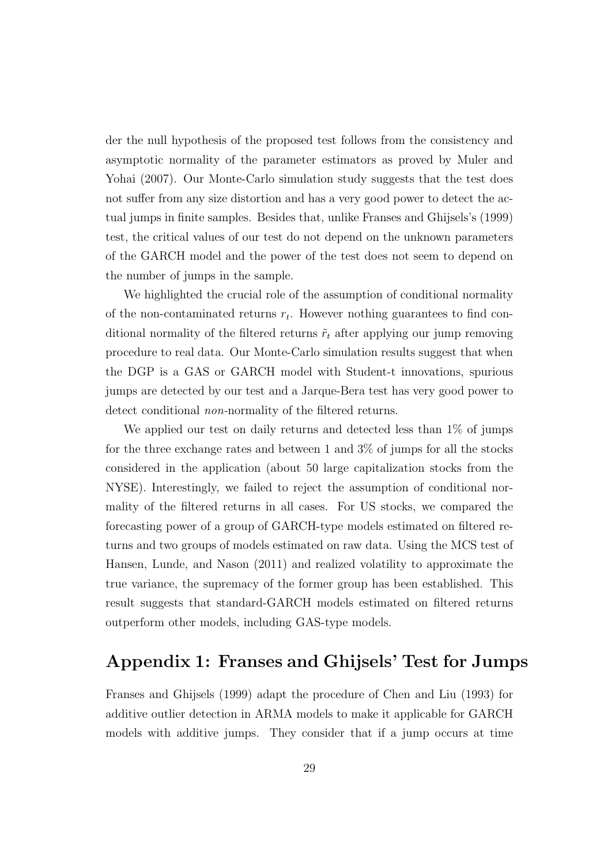der the null hypothesis of the proposed test follows from the consistency and asymptotic normality of the parameter estimators as proved by Muler and Yohai (2007). Our Monte-Carlo simulation study suggests that the test does not suffer from any size distortion and has a very good power to detect the actual jumps in finite samples. Besides that, unlike Franses and Ghijsels's (1999) test, the critical values of our test do not depend on the unknown parameters of the GARCH model and the power of the test does not seem to depend on the number of jumps in the sample.

We highlighted the crucial role of the assumption of conditional normality of the non-contaminated returns  $r_t$ . However nothing guarantees to find conditional normality of the filtered returns  $\tilde{r}_t$  after applying our jump removing procedure to real data. Our Monte-Carlo simulation results suggest that when the DGP is a GAS or GARCH model with Student-t innovations, spurious jumps are detected by our test and a Jarque-Bera test has very good power to detect conditional *non*-normality of the filtered returns.

We applied our test on daily returns and detected less than  $1\%$  of jumps for the three exchange rates and between 1 and 3% of jumps for all the stocks considered in the application (about 50 large capitalization stocks from the NYSE). Interestingly, we failed to reject the assumption of conditional normality of the filtered returns in all cases. For US stocks, we compared the forecasting power of a group of GARCH-type models estimated on filtered returns and two groups of models estimated on raw data. Using the MCS test of Hansen, Lunde, and Nason (2011) and realized volatility to approximate the true variance, the supremacy of the former group has been established. This result suggests that standard-GARCH models estimated on filtered returns outperform other models, including GAS-type models.

### Appendix 1: Franses and Ghijsels' Test for Jumps

Franses and Ghijsels (1999) adapt the procedure of Chen and Liu (1993) for additive outlier detection in ARMA models to make it applicable for GARCH models with additive jumps. They consider that if a jump occurs at time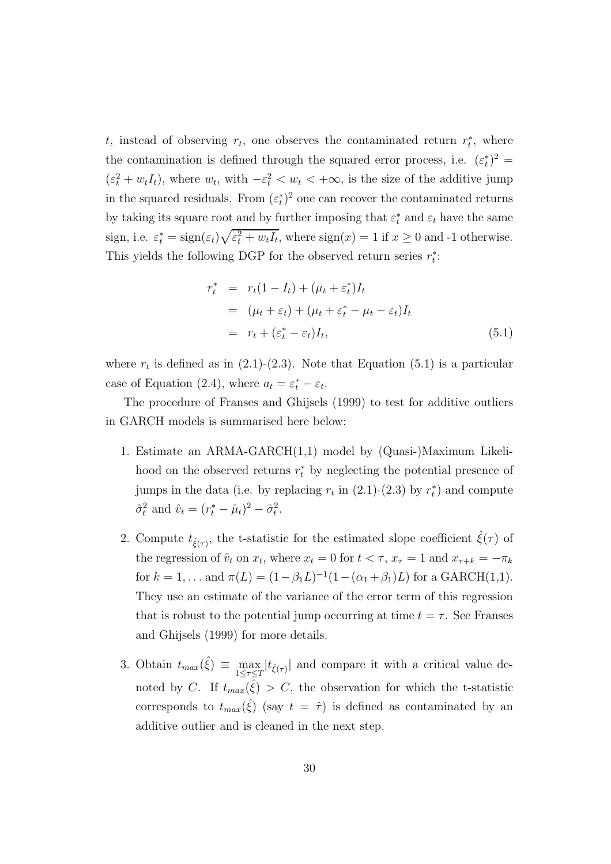t, instead of observing  $r_t$ , one observes the contaminated return  $r_t^*$ , where the contamination is defined through the squared error process, i.e.  $(\varepsilon_t^*)^2 =$  $(\varepsilon_t^2 + w_t I_t)$ , where  $w_t$ , with  $-\varepsilon_t^2 < w_t < +\infty$ , is the size of the additive jump in the squared residuals. From  $(\varepsilon_t^*)^2$  one can recover the contaminated returns by taking its square root and by further imposing that  $\varepsilon_t^*$  and  $\varepsilon_t$  have the same sign, i.e.  $\varepsilon_t^* = \text{sign}(\varepsilon_t) \sqrt{\varepsilon_t^2 + w_t I_t}$ , where  $\text{sign}(x) = 1$  if  $x \ge 0$  and -1 otherwise. This yields the following DGP for the observed return series  $r_t^*$ :

$$
r_t^* = r_t(1 - I_t) + (\mu_t + \varepsilon_t^*)I_t
$$
  
= 
$$
(\mu_t + \varepsilon_t) + (\mu_t + \varepsilon_t^* - \mu_t - \varepsilon_t)I_t
$$
  
= 
$$
r_t + (\varepsilon_t^* - \varepsilon_t)I_t,
$$
 (5.1)

where  $r_t$  is defined as in (2.1)-(2.3). Note that Equation (5.1) is a particular case of Equation (2.4), where  $a_t = \varepsilon_t^* - \varepsilon_t$ .

The procedure of Franses and Ghijsels (1999) to test for additive outliers in GARCH models is summarised here below:

- 1. Estimate an ARMA-GARCH(1,1) model by (Quasi-)Maximum Likelihood on the observed returns  $r_t^*$  by neglecting the potential presence of jumps in the data (i.e. by replacing  $r_t$  in (2.1)-(2.3) by  $r_t^*$ ) and compute  $\hat{\sigma}_t^2$  and  $\hat{v}_t = (r_t^* - \hat{\mu}_t)^2 - \hat{\sigma}_t^2$ .
- 2. Compute  $t_{\hat{\xi}(\tau)}$ , the t-statistic for the estimated slope coefficient  $\hat{\xi}(\tau)$  of the regression of  $\hat{v}_t$  on  $x_t$ , where  $x_t = 0$  for  $t < \tau$ ,  $x_{\tau} = 1$  and  $x_{\tau+k} = -\pi_k$ for  $k = 1, ...$  and  $\pi(L) = (1 - \beta_1 L)^{-1} (1 - (\alpha_1 + \beta_1)L)$  for a GARCH(1,1). They use an estimate of the variance of the error term of this regression that is robust to the potential jump occurring at time  $t = \tau$ . See Franses and Ghijsels (1999) for more details.
- 3. Obtain  $t_{max}(\hat{\xi}) \equiv \max_{1 \leq \tau \leq T} |t_{\hat{\xi}(\tau)}|$  and compare it with a critical value denoted by C. If  $t_{max}(\hat{\xi}) > C$ , the observation for which the t-statistic corresponds to  $t_{max}(\hat{\xi})$  (say  $t = \hat{\tau}$ ) is defined as contaminated by an additive outlier and is cleaned in the next step.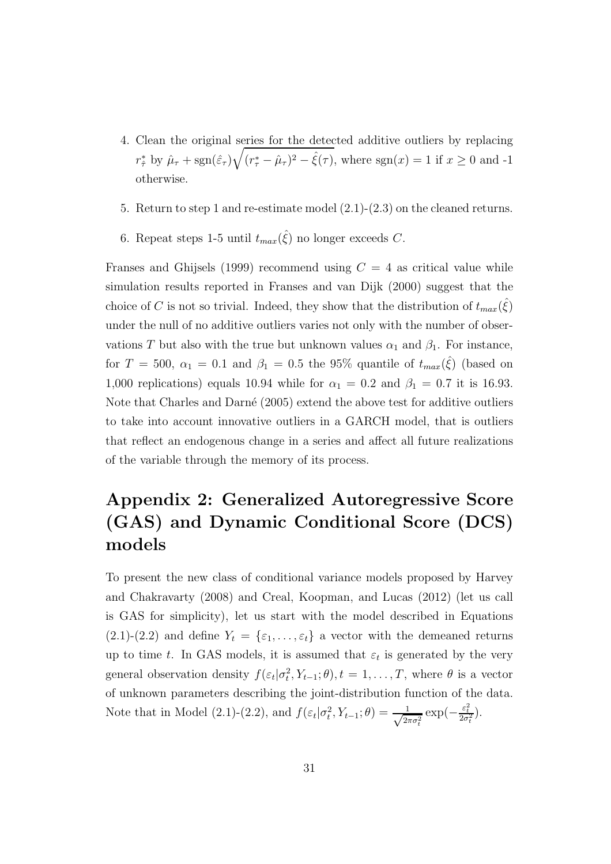- 4. Clean the original series for the detected additive outliers by replacing  $r^*_{\hat{\tau}}$  by  $\hat{\mu}_{\tau}$  + sgn( $\hat{\varepsilon}_{\tau}$ ) $\sqrt{(r^*_{\tau} - \hat{\mu}_{\tau})^2 - \hat{\xi}(\tau)}$ , where sgn(x) = 1 if  $x \ge 0$  and -1 otherwise.
- 5. Return to step 1 and re-estimate model (2.1)-(2.3) on the cleaned returns.
- 6. Repeat steps 1-5 until  $t_{max}(\hat{\xi})$  no longer exceeds C.

Franses and Ghijsels (1999) recommend using  $C = 4$  as critical value while simulation results reported in Franses and van Dijk (2000) suggest that the choice of C is not so trivial. Indeed, they show that the distribution of  $t_{max}(\hat{\xi})$ under the null of no additive outliers varies not only with the number of observations T but also with the true but unknown values  $\alpha_1$  and  $\beta_1$ . For instance, for  $T = 500$ ,  $\alpha_1 = 0.1$  and  $\beta_1 = 0.5$  the 95% quantile of  $t_{max}(\hat{\xi})$  (based on 1,000 replications) equals 10.94 while for  $\alpha_1 = 0.2$  and  $\beta_1 = 0.7$  it is 16.93. Note that Charles and Darné  $(2005)$  extend the above test for additive outliers to take into account innovative outliers in a GARCH model, that is outliers that reflect an endogenous change in a series and affect all future realizations of the variable through the memory of its process.

## Appendix 2: Generalized Autoregressive Score (GAS) and Dynamic Conditional Score (DCS) models

To present the new class of conditional variance models proposed by Harvey and Chakravarty (2008) and Creal, Koopman, and Lucas (2012) (let us call is GAS for simplicity), let us start with the model described in Equations  $(2.1)-(2.2)$  and define  $Y_t = \{\varepsilon_1,\ldots,\varepsilon_t\}$  a vector with the demeaned returns up to time t. In GAS models, it is assumed that  $\varepsilon_t$  is generated by the very general observation density  $f(\varepsilon_t|\sigma_t^2, Y_{t-1}; \theta), t = 1, \ldots, T$ , where  $\theta$  is a vector of unknown parameters describing the joint-distribution function of the data. Note that in Model (2.1)-(2.2), and  $f(\varepsilon_t|\sigma_t^2, Y_{t-1}; \theta) = \frac{1}{\sqrt{2t}}$  $\frac{1}{2\pi\sigma_t^2} \exp(-\frac{\varepsilon_t^2}{2\sigma_t^2}).$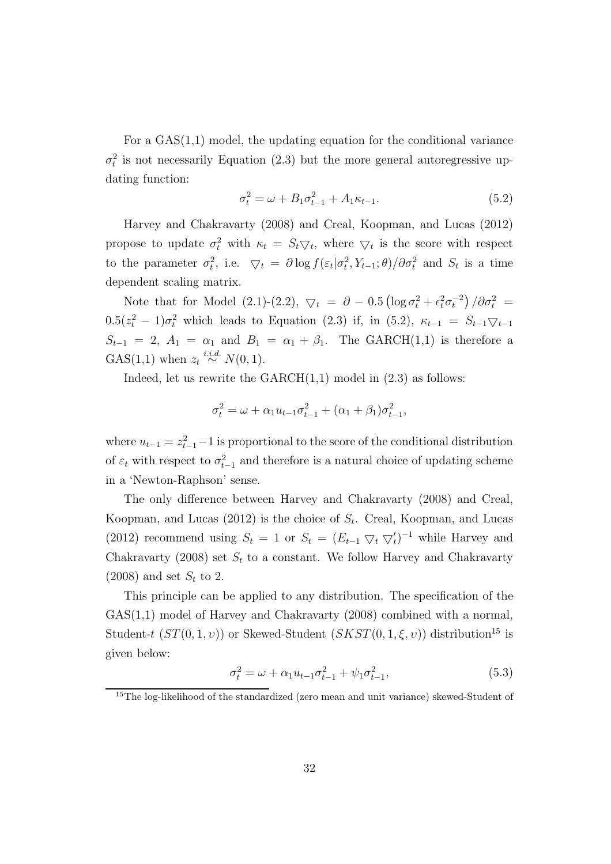For a  $GAS(1,1)$  model, the updating equation for the conditional variance  $\sigma_t^2$  is not necessarily Equation (2.3) but the more general autoregressive updating function:

$$
\sigma_t^2 = \omega + B_1 \sigma_{t-1}^2 + A_1 \kappa_{t-1}.
$$
\n(5.2)

Harvey and Chakravarty (2008) and Creal, Koopman, and Lucas (2012) propose to update  $\sigma_t^2$  with  $\kappa_t = S_t \nabla_t$ , where  $\nabla_t$  is the score with respect to the parameter  $\sigma_t^2$ , i.e.  $\bigtriangledown_t = \partial \log f(\varepsilon_t | \sigma_t^2, Y_{t-1}; \theta) / \partial \sigma_t^2$  and  $S_t$  is a time dependent scaling matrix.

Note that for Model (2.1)-(2.2),  $\bigtriangledown_t = \partial - 0.5 \left( \log \sigma_t^2 + \epsilon_t^2 \sigma_t^{-2} \right) / \partial \sigma_t^2 =$  $0.5(z_t^2 - 1)\sigma_t^2$  which leads to Equation (2.3) if, in (5.2),  $\kappa_{t-1} = S_{t-1}\nabla_{t-1}$  $S_{t-1} = 2$ ,  $A_1 = \alpha_1$  and  $B_1 = \alpha_1 + \beta_1$ . The GARCH(1,1) is therefore a GAS(1,1) when  $z_t \stackrel{i.i.d.}{\sim} N(0, 1)$ .

Indeed, let us rewrite the  $GARCH(1,1)$  model in  $(2.3)$  as follows:

$$
\sigma_t^2 = \omega + \alpha_1 u_{t-1} \sigma_{t-1}^2 + (\alpha_1 + \beta_1) \sigma_{t-1}^2,
$$

where  $u_{t-1} = z_{t-1}^2 - 1$  is proportional to the score of the conditional distribution of  $\varepsilon_t$  with respect to  $\sigma_{t-1}^2$  and therefore is a natural choice of updating scheme in a 'Newton-Raphson' sense.

The only difference between Harvey and Chakravarty (2008) and Creal, Koopman, and Lucas (2012) is the choice of  $S_t$ . Creal, Koopman, and Lucas (2012) recommend using  $S_t = 1$  or  $S_t = (E_{t-1} \nabla_t \nabla_t')^{-1}$  while Harvey and Chakravarty (2008) set  $S_t$  to a constant. We follow Harvey and Chakravarty  $(2008)$  and set  $S_t$  to 2.

This principle can be applied to any distribution. The specification of the GAS(1,1) model of Harvey and Chakravarty (2008) combined with a normal, Student-t  $(ST(0, 1, v))$  or Skewed-Student  $(SKST(0, 1, \xi, v))$  distribution<sup>15</sup> is given below:

$$
\sigma_t^2 = \omega + \alpha_1 u_{t-1} \sigma_{t-1}^2 + \psi_1 \sigma_{t-1}^2,
$$
\n(5.3)

<sup>15</sup>The log-likelihood of the standardized (zero mean and unit variance) skewed-Student of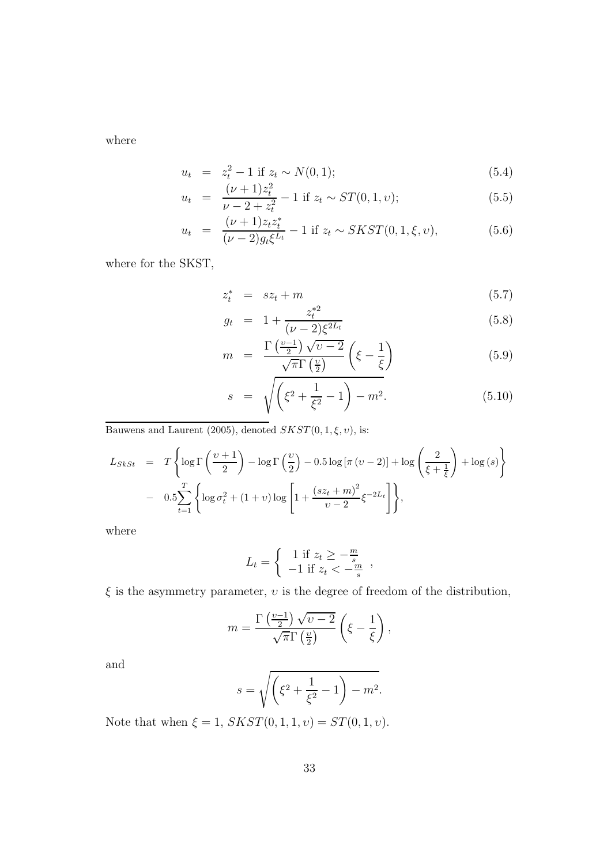where

$$
u_t = z_t^2 - 1 \text{ if } z_t \sim N(0, 1); \tag{5.4}
$$

$$
u_t = \frac{(\nu + 1)z_t^2}{\nu - 2 + z_t^2} - 1 \text{ if } z_t \sim ST(0, 1, v); \tag{5.5}
$$

$$
u_t = \frac{(\nu + 1)z_t z_t^*}{(\nu - 2)g_t \xi^{L_t}} - 1 \text{ if } z_t \sim SKST(0, 1, \xi, v), \tag{5.6}
$$

where for the SKST,

$$
z_t^* = s z_t + m \tag{5.7}
$$

$$
g_t = 1 + \frac{z_t^{*2}}{(\nu - 2)\xi^{2L_t}}
$$
(5.8)

$$
m = \frac{\Gamma\left(\frac{\nu-1}{2}\right)\sqrt{\nu-2}}{\sqrt{\pi}\Gamma\left(\frac{\nu}{2}\right)} \left(\xi - \frac{1}{\xi}\right)
$$
 (5.9)

$$
s = \sqrt{\left(\xi^2 + \frac{1}{\xi^2} - 1\right) - m^2}.
$$
 (5.10)

Bauwens and Laurent (2005), denoted  $SKST(0, 1, \xi, v)$ , is:

$$
L_{SkSt} = T \left\{ \log \Gamma \left( \frac{\upsilon + 1}{2} \right) - \log \Gamma \left( \frac{\upsilon}{2} \right) - 0.5 \log \left[ \pi \left( \upsilon - 2 \right) \right] + \log \left( \frac{2}{\xi + \frac{1}{\xi}} \right) + \log \left( s \right) \right\}
$$

$$
- 0.5 \sum_{t=1}^{T} \left\{ \log \sigma_t^2 + (1 + \upsilon) \log \left[ 1 + \frac{\left( s z_t + m \right)^2}{\upsilon - 2} \xi^{-2L_t} \right] \right\},
$$

where

$$
L_t = \begin{cases} 1 \text{ if } z_t \ge -\frac{m}{s} \\ -1 \text{ if } z_t < -\frac{m}{s} \end{cases}
$$

 $\xi$  is the asymmetry parameter,  $v$  is the degree of freedom of the distribution,

$$
m = \frac{\Gamma\left(\frac{\nu-1}{2}\right)\sqrt{\nu-2}}{\sqrt{\pi}\Gamma\left(\frac{\nu}{2}\right)} \left(\xi - \frac{1}{\xi}\right),\,
$$

and

$$
s = \sqrt{\left(\xi^2 + \frac{1}{\xi^2} - 1\right) - m^2}.
$$

Note that when  $\xi = 1$ ,  $SKST(0, 1, 1, v) = ST(0, 1, v)$ .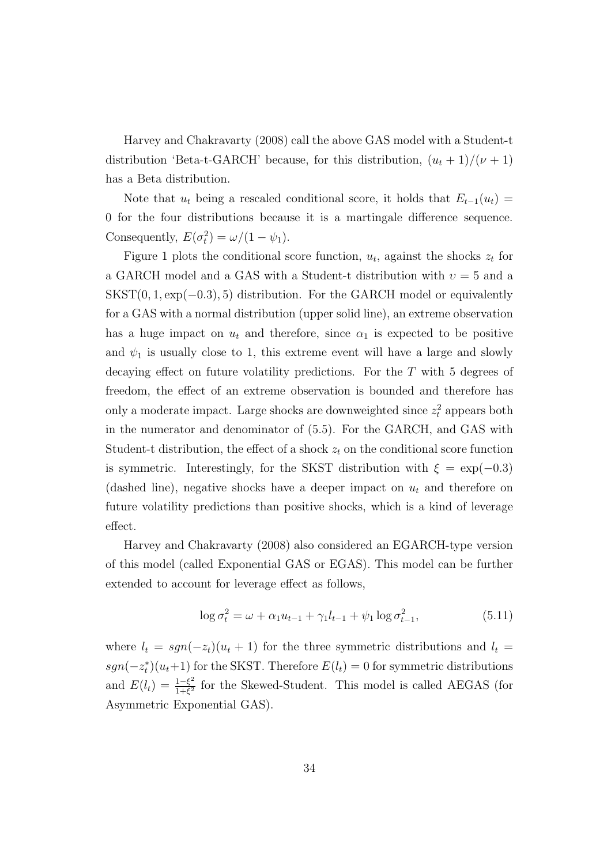Harvey and Chakravarty (2008) call the above GAS model with a Student-t distribution 'Beta-t-GARCH' because, for this distribution,  $(u_t + 1)/(\nu + 1)$ has a Beta distribution.

Note that  $u_t$  being a rescaled conditional score, it holds that  $E_{t-1}(u_t) =$ 0 for the four distributions because it is a martingale difference sequence. Consequently,  $E(\sigma_t^2) = \omega/(1 - \psi_1)$ .

Figure 1 plots the conditional score function,  $u_t$ , against the shocks  $z_t$  for a GARCH model and a GAS with a Student-t distribution with  $v = 5$  and a  $SKST(0, 1, \exp(-0.3), 5)$  distribution. For the GARCH model or equivalently for a GAS with a normal distribution (upper solid line), an extreme observation has a huge impact on  $u_t$  and therefore, since  $\alpha_1$  is expected to be positive and  $\psi_1$  is usually close to 1, this extreme event will have a large and slowly decaying effect on future volatility predictions. For the  $T$  with 5 degrees of freedom, the effect of an extreme observation is bounded and therefore has only a moderate impact. Large shocks are downweighted since  $z_t^2$  appears both in the numerator and denominator of (5.5). For the GARCH, and GAS with Student-t distribution, the effect of a shock  $z_t$  on the conditional score function is symmetric. Interestingly, for the SKST distribution with  $\xi = \exp(-0.3)$ (dashed line), negative shocks have a deeper impact on  $u_t$  and therefore on future volatility predictions than positive shocks, which is a kind of leverage effect.

Harvey and Chakravarty (2008) also considered an EGARCH-type version of this model (called Exponential GAS or EGAS). This model can be further extended to account for leverage effect as follows,

$$
\log \sigma_t^2 = \omega + \alpha_1 u_{t-1} + \gamma_1 l_{t-1} + \psi_1 \log \sigma_{t-1}^2,
$$
\n(5.11)

where  $l_t = sgn(-z_t)(u_t + 1)$  for the three symmetric distributions and  $l_t =$  $sgn(-z_t^*)(u_t+1)$  for the SKST. Therefore  $E(l_t) = 0$  for symmetric distributions and  $E(l_t) = \frac{1-\xi^2}{1+\xi^2}$  $\frac{1-\xi^2}{1+\xi^2}$  for the Skewed-Student. This model is called AEGAS (for Asymmetric Exponential GAS).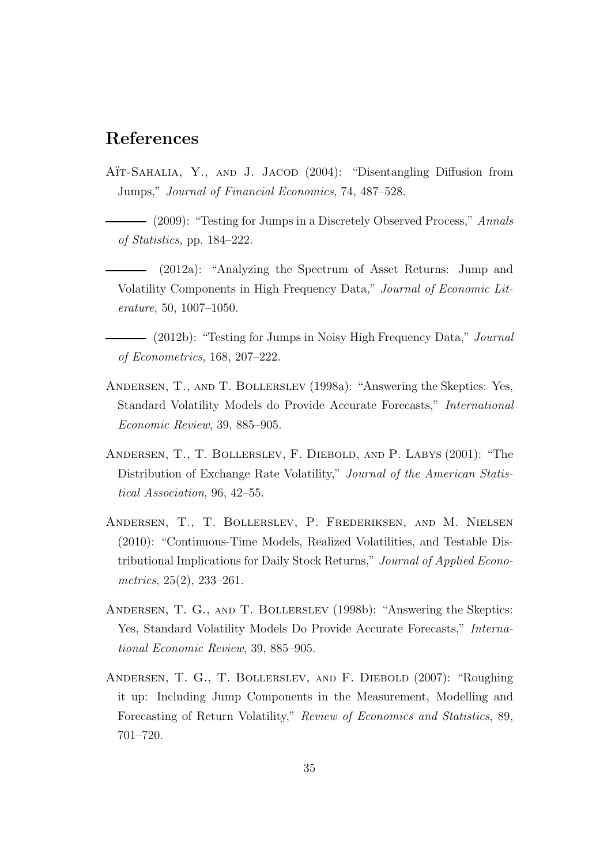### References

- AÏT-SAHALIA, Y., AND J. JACOD (2004): "Disentangling Diffusion from Jumps," Journal of Financial Economics, 74, 487–528.
- $-$  (2009): "Testing for Jumps in a Discretely Observed Process," Annals of Statistics, pp. 184–222.
- (2012a): "Analyzing the Spectrum of Asset Returns: Jump and Volatility Components in High Frequency Data," Journal of Economic Literature, 50, 1007–1050.
- (2012b): "Testing for Jumps in Noisy High Frequency Data," Journal of Econometrics, 168, 207–222.
- Andersen, T., and T. Bollerslev (1998a): "Answering the Skeptics: Yes, Standard Volatility Models do Provide Accurate Forecasts," International Economic Review, 39, 885–905.
- Andersen, T., T. Bollerslev, F. Diebold, and P. Labys (2001): "The Distribution of Exchange Rate Volatility," Journal of the American Statistical Association, 96, 42–55.
- Andersen, T., T. Bollerslev, P. Frederiksen, and M. Nielsen (2010): "Continuous-Time Models, Realized Volatilities, and Testable Distributional Implications for Daily Stock Returns," Journal of Applied Econometrics, 25(2), 233–261.
- Andersen, T. G., and T. Bollerslev (1998b): "Answering the Skeptics: Yes, Standard Volatility Models Do Provide Accurate Forecasts," International Economic Review, 39, 885–905.
- Andersen, T. G., T. Bollerslev, and F. Diebold (2007): "Roughing it up: Including Jump Components in the Measurement, Modelling and Forecasting of Return Volatility," Review of Economics and Statistics, 89, 701–720.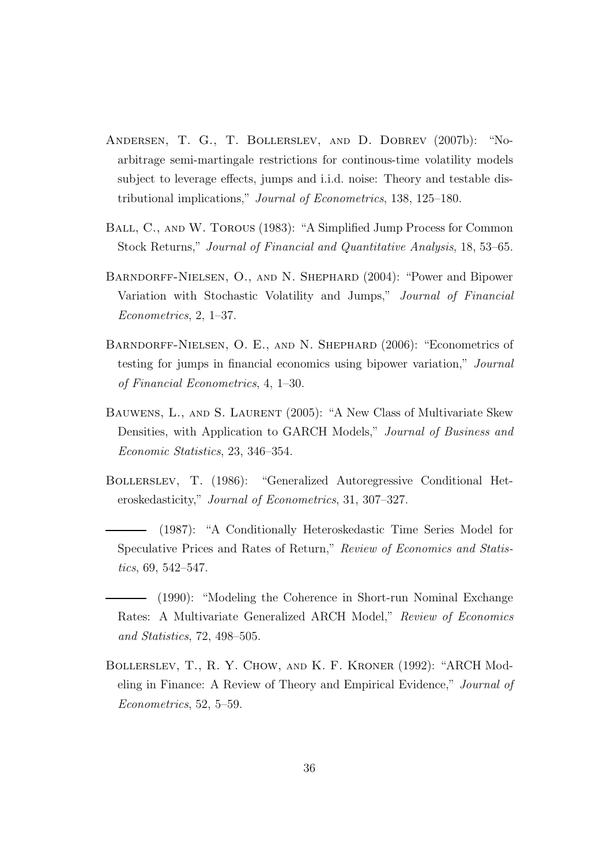- Andersen, T. G., T. Bollerslev, and D. Dobrev (2007b): "Noarbitrage semi-martingale restrictions for continous-time volatility models subject to leverage effects, jumps and i.i.d. noise: Theory and testable distributional implications," Journal of Econometrics, 138, 125–180.
- Ball, C., and W. Torous (1983): "A Simplified Jump Process for Common Stock Returns," Journal of Financial and Quantitative Analysis, 18, 53–65.
- Barndorff-Nielsen, O., and N. Shephard (2004): "Power and Bipower Variation with Stochastic Volatility and Jumps," Journal of Financial Econometrics, 2, 1–37.
- Barndorff-Nielsen, O. E., and N. Shephard (2006): "Econometrics of testing for jumps in financial economics using bipower variation," Journal of Financial Econometrics, 4, 1–30.
- Bauwens, L., and S. Laurent (2005): "A New Class of Multivariate Skew Densities, with Application to GARCH Models," Journal of Business and Economic Statistics, 23, 346–354.
- Bollerslev, T. (1986): "Generalized Autoregressive Conditional Heteroskedasticity," Journal of Econometrics, 31, 307–327.
- (1987): "A Conditionally Heteroskedastic Time Series Model for Speculative Prices and Rates of Return," Review of Economics and Statistics, 69, 542–547.
- (1990): "Modeling the Coherence in Short-run Nominal Exchange Rates: A Multivariate Generalized ARCH Model," Review of Economics and Statistics, 72, 498–505.
- Bollerslev, T., R. Y. Chow, and K. F. Kroner (1992): "ARCH Modeling in Finance: A Review of Theory and Empirical Evidence," Journal of Econometrics, 52, 5–59.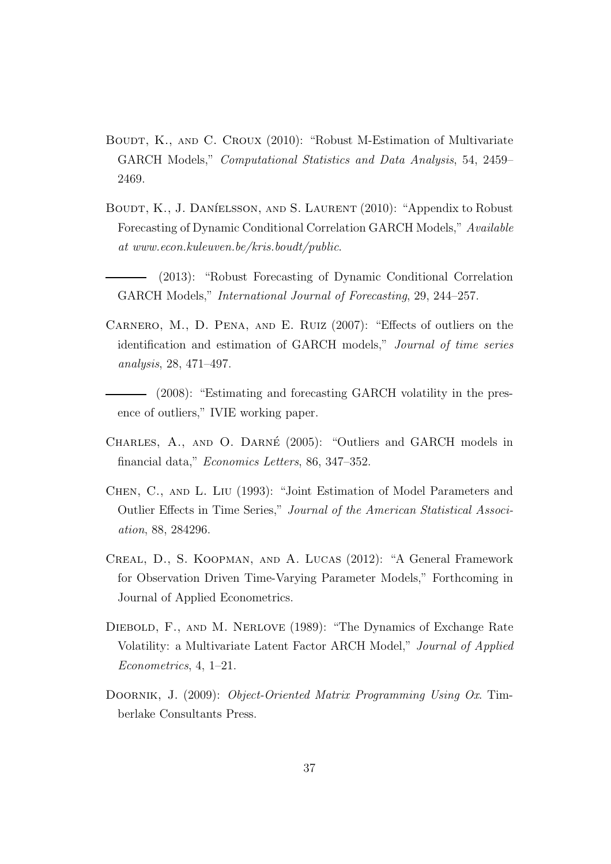- BOUDT, K., AND C. CROUX (2010): "Robust M-Estimation of Multivariate GARCH Models," Computational Statistics and Data Analysis, 54, 2459– 2469.
- BOUDT, K., J. DANÍELSSON, AND S. LAURENT (2010): "Appendix to Robust Forecasting of Dynamic Conditional Correlation GARCH Models," Available at www.econ.kuleuven.be/kris.boudt/public.
- (2013): "Robust Forecasting of Dynamic Conditional Correlation GARCH Models," International Journal of Forecasting, 29, 244–257.
- Carnero, M., D. Pena, and E. Ruiz (2007): "Effects of outliers on the identification and estimation of GARCH models," Journal of time series analysis, 28, 471–497.
- (2008): "Estimating and forecasting GARCH volatility in the presence of outliers," IVIE working paper.
- CHARLES, A., AND O. DARNÉ (2005): "Outliers and GARCH models in financial data," Economics Letters, 86, 347–352.
- Chen, C., and L. Liu (1993): "Joint Estimation of Model Parameters and Outlier Effects in Time Series," Journal of the American Statistical Association, 88, 284296.
- Creal, D., S. Koopman, and A. Lucas (2012): "A General Framework for Observation Driven Time-Varying Parameter Models," Forthcoming in Journal of Applied Econometrics.
- Diebold, F., and M. Nerlove (1989): "The Dynamics of Exchange Rate Volatility: a Multivariate Latent Factor ARCH Model," Journal of Applied Econometrics, 4, 1–21.
- DOORNIK, J. (2009): *Object-Oriented Matrix Programming Using Ox.* Timberlake Consultants Press.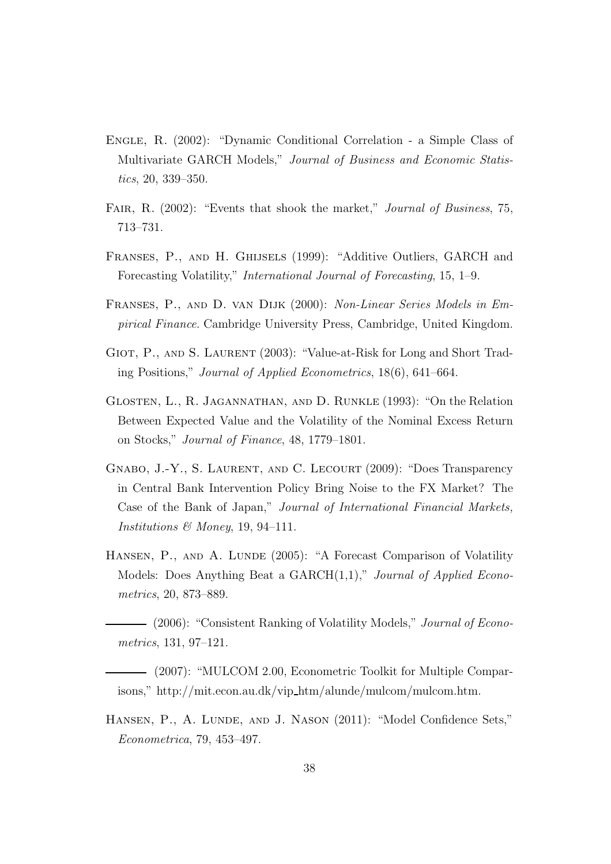- Engle, R. (2002): "Dynamic Conditional Correlation a Simple Class of Multivariate GARCH Models," Journal of Business and Economic Statistics, 20, 339–350.
- FAIR, R. (2002): "Events that shook the market," *Journal of Business*, 75, 713–731.
- Franses, P., and H. Ghijsels (1999): "Additive Outliers, GARCH and Forecasting Volatility," International Journal of Forecasting, 15, 1–9.
- Franses, P., and D. van Dijk (2000): Non-Linear Series Models in Empirical Finance. Cambridge University Press, Cambridge, United Kingdom.
- GIOT, P., AND S. LAURENT (2003): "Value-at-Risk for Long and Short Trading Positions," Journal of Applied Econometrics, 18(6), 641–664.
- Glosten, L., R. Jagannathan, and D. Runkle (1993): "On the Relation Between Expected Value and the Volatility of the Nominal Excess Return on Stocks," Journal of Finance, 48, 1779–1801.
- Gnabo, J.-Y., S. Laurent, and C. Lecourt (2009): "Does Transparency in Central Bank Intervention Policy Bring Noise to the FX Market? The Case of the Bank of Japan," Journal of International Financial Markets, Institutions  $\mathcal{B}$  Money, 19, 94–111.
- HANSEN, P., AND A. LUNDE (2005): "A Forecast Comparison of Volatility Models: Does Anything Beat a  $GARCH(1,1),$ " Journal of Applied Econometrics, 20, 873–889.
- (2006): "Consistent Ranking of Volatility Models," *Journal of Econo*metrics, 131, 97–121.
- (2007): "MULCOM 2.00, Econometric Toolkit for Multiple Comparisons," http://mit.econ.au.dk/vip htm/alunde/mulcom/mulcom.htm.
- HANSEN, P., A. LUNDE, AND J. NASON (2011): "Model Confidence Sets," Econometrica, 79, 453–497.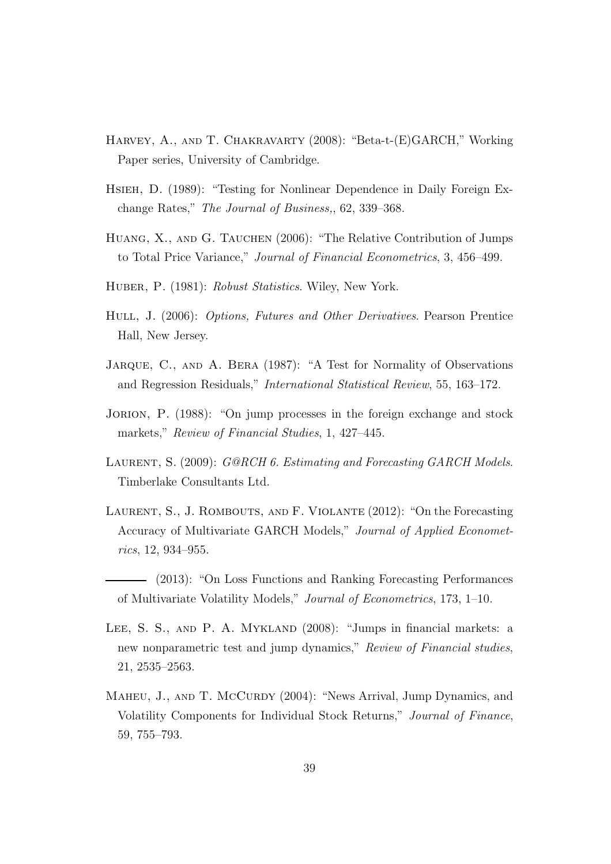- Harvey, A., and T. Chakravarty (2008): "Beta-t-(E)GARCH," Working Paper series, University of Cambridge.
- Hsieh, D. (1989): "Testing for Nonlinear Dependence in Daily Foreign Exchange Rates," The Journal of Business,, 62, 339–368.
- HUANG, X., AND G. TAUCHEN (2006): "The Relative Contribution of Jumps to Total Price Variance," Journal of Financial Econometrics, 3, 456–499.
- HUBER, P. (1981): Robust Statistics. Wiley, New York.
- Hull, J. (2006): Options, Futures and Other Derivatives. Pearson Prentice Hall, New Jersey.
- JARQUE, C., AND A. BERA (1987): "A Test for Normality of Observations and Regression Residuals," International Statistical Review, 55, 163–172.
- JORION, P. (1988): "On jump processes in the foreign exchange and stock markets," Review of Financial Studies, 1, 427-445.
- LAURENT, S. (2009): G@RCH 6. Estimating and Forecasting GARCH Models. Timberlake Consultants Ltd.
- Laurent, S., J. Rombouts, and F. Violante (2012): "On the Forecasting Accuracy of Multivariate GARCH Models," Journal of Applied Econometrics, 12, 934–955.
- (2013): "On Loss Functions and Ranking Forecasting Performances of Multivariate Volatility Models," Journal of Econometrics, 173, 1–10.
- LEE, S. S., AND P. A. MYKLAND (2008): "Jumps in financial markets: a new nonparametric test and jump dynamics," Review of Financial studies, 21, 2535–2563.
- MAHEU, J., AND T. MCCURDY (2004): "News Arrival, Jump Dynamics, and Volatility Components for Individual Stock Returns," Journal of Finance, 59, 755–793.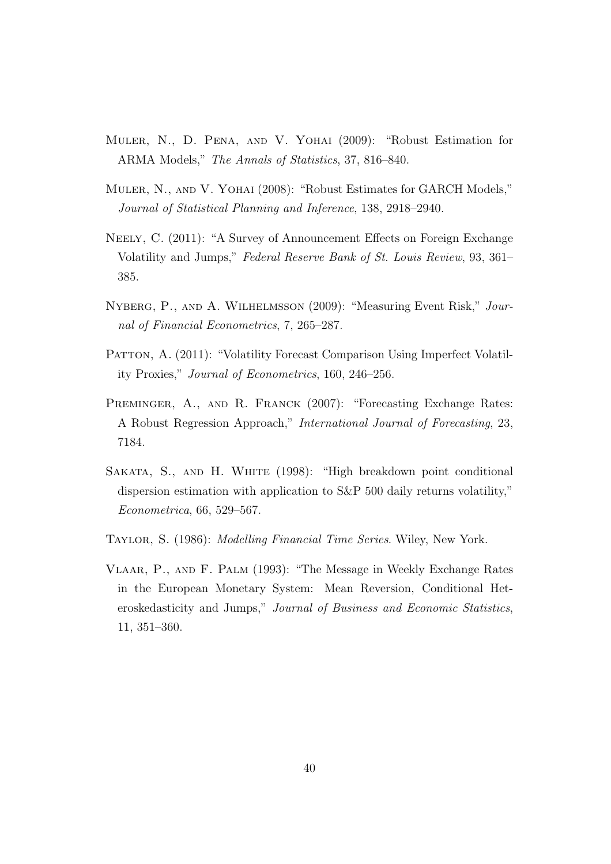- Muler, N., D. Pena, and V. Yohai (2009): "Robust Estimation for ARMA Models," The Annals of Statistics, 37, 816–840.
- Muler, N., and V. Yohai (2008): "Robust Estimates for GARCH Models," Journal of Statistical Planning and Inference, 138, 2918–2940.
- Neely, C. (2011): "A Survey of Announcement Effects on Foreign Exchange Volatility and Jumps," Federal Reserve Bank of St. Louis Review, 93, 361– 385.
- Nyberg, P., and A. Wilhelmsson (2009): "Measuring Event Risk," Journal of Financial Econometrics, 7, 265–287.
- PATTON, A. (2011): "Volatility Forecast Comparison Using Imperfect Volatility Proxies," Journal of Econometrics, 160, 246–256.
- PREMINGER, A., AND R. FRANCK (2007): "Forecasting Exchange Rates: A Robust Regression Approach," International Journal of Forecasting, 23, 7184.
- SAKATA, S., AND H. WHITE (1998): "High breakdown point conditional dispersion estimation with application to S&P 500 daily returns volatility," Econometrica, 66, 529–567.
- Taylor, S. (1986): Modelling Financial Time Series. Wiley, New York.
- Vlaar, P., and F. Palm (1993): "The Message in Weekly Exchange Rates in the European Monetary System: Mean Reversion, Conditional Heteroskedasticity and Jumps," Journal of Business and Economic Statistics, 11, 351–360.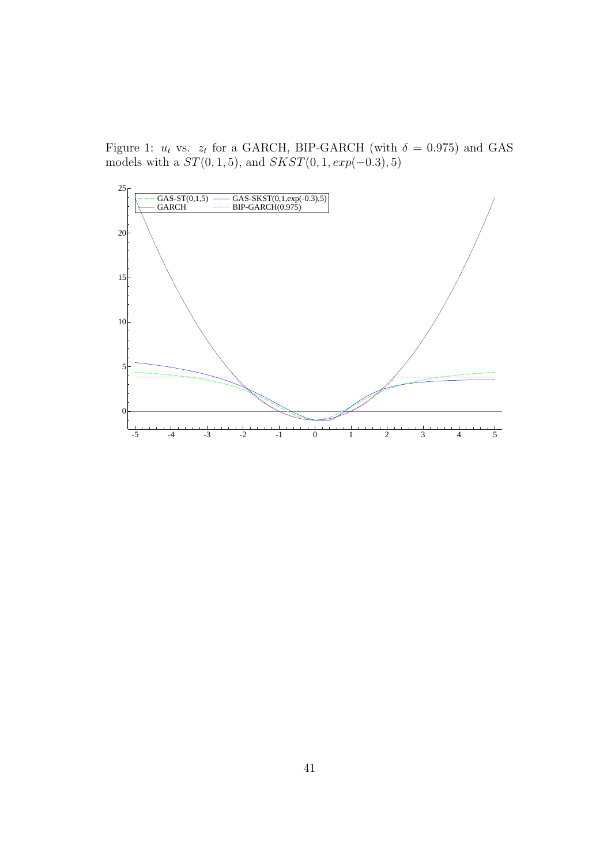Figure 1:  $u_t$  vs.  $z_t$  for a GARCH, BIP-GARCH (with  $\delta = 0.975$ ) and GAS models with a  $ST(0, 1, 5)$ , and  $SKST(0, 1, exp(-0.3), 5)$ 

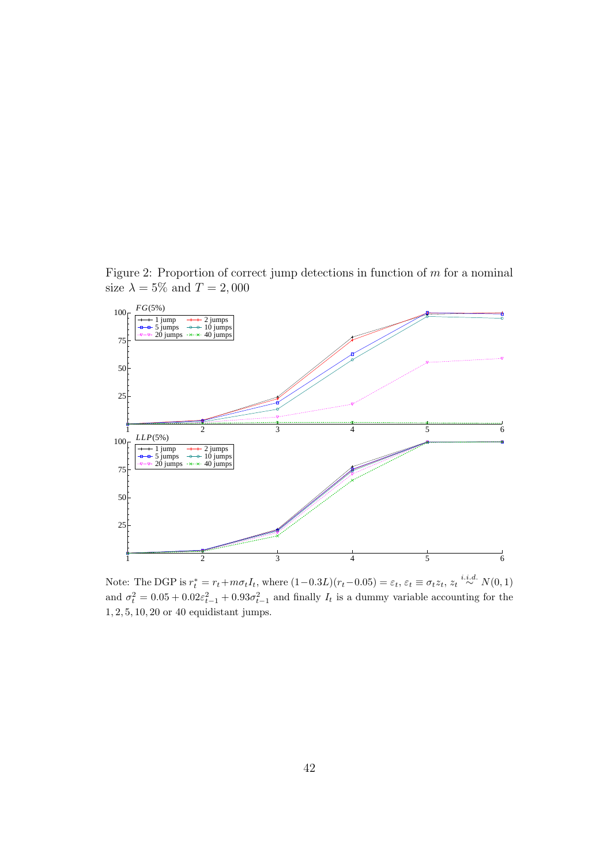Figure 2: Proportion of correct jump detections in function of  $m$  for a nominal size  $\lambda = 5\%$  and  $T = 2,000$ 



Note: The DGP is  $r_t^* = r_t + m\sigma_t I_t$ , where  $(1-0.3L)(r_t-0.05) = \varepsilon_t$ ,  $\varepsilon_t \equiv \sigma_t z_t$ ,  $z_t \stackrel{i.i.d.}{\sim} N(0, 1)$ and  $\sigma_t^2 = 0.05 + 0.02\varepsilon_{t-1}^2 + 0.93\sigma_{t-1}^2$  and finally  $I_t$  is a dummy variable accounting for the 1, 2, 5, 10, 20 or 40 equidistant jumps.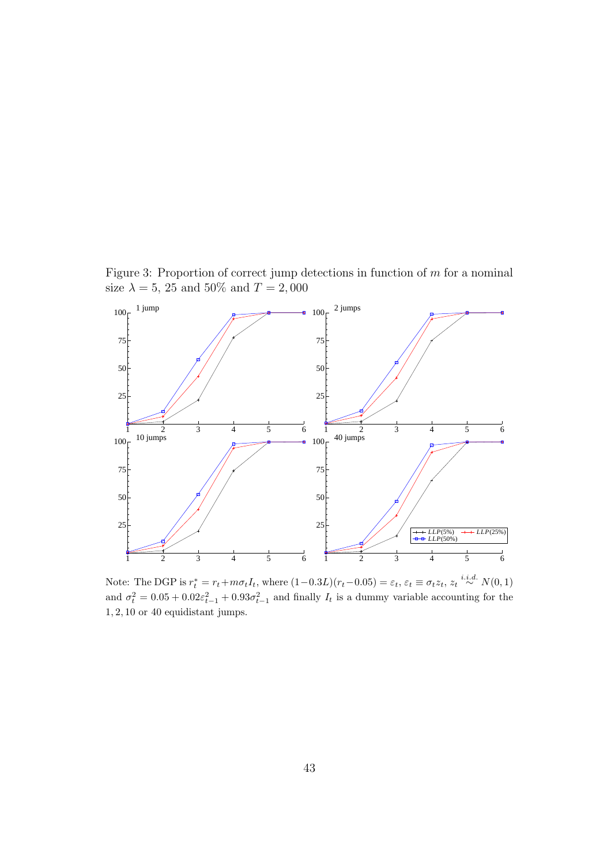Figure 3: Proportion of correct jump detections in function of  $m$  for a nominal size  $\lambda = 5, 25$  and  $50\%$  and  $T = 2,000$ 



Note: The DGP is  $r_t^* = r_t + m\sigma_t I_t$ , where  $(1-0.3L)(r_t-0.05) = \varepsilon_t$ ,  $\varepsilon_t \equiv \sigma_t z_t$ ,  $z_t \stackrel{i.i.d.}{\sim} N(0, 1)$ and  $\sigma_t^2 = 0.05 + 0.02\varepsilon_{t-1}^2 + 0.93\sigma_{t-1}^2$  and finally  $I_t$  is a dummy variable accounting for the , 2, 10 or 40 equidistant jumps.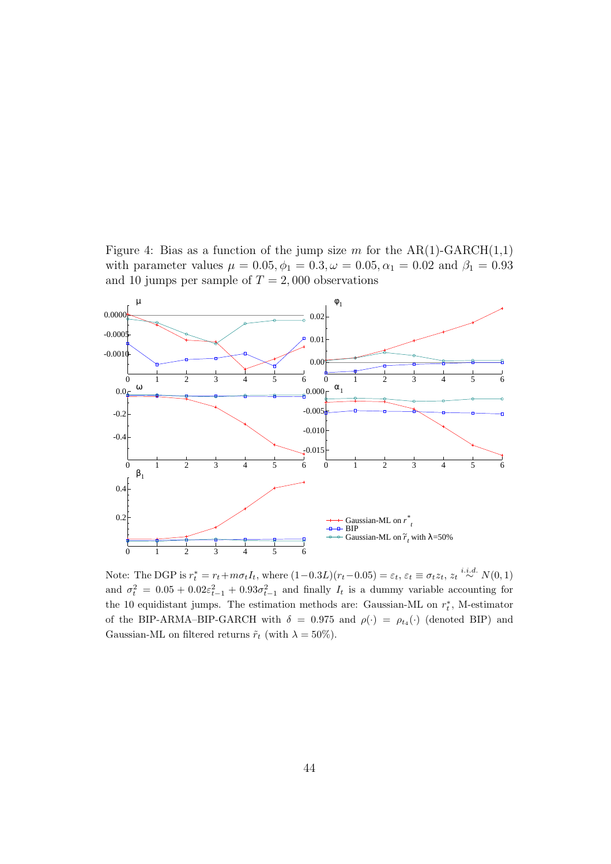Figure 4: Bias as a function of the jump size m for the  $AR(1)-GARCH(1,1)$ with parameter values  $\mu = 0.05, \phi_1 = 0.3, \omega = 0.05, \alpha_1 = 0.02$  and  $\beta_1 = 0.93$ and 10 jumps per sample of  $T = 2,000$  observations



Note: The DGP is  $r_t^* = r_t + m\sigma_t I_t$ , where  $(1-0.3L)(r_t-0.05) = \varepsilon_t$ ,  $\varepsilon_t \equiv \sigma_t z_t$ ,  $z_t \stackrel{i.i.d.}{\sim} N(0, 1)$ and  $\sigma_t^2 = 0.05 + 0.02\varepsilon_{t-1}^2 + 0.93\sigma_{t-1}^2$  and finally  $I_t$  is a dummy variable accounting for the 10 equidistant jumps. The estimation methods are: Gaussian-ML on  $r_t^*$ , M-estimator of the BIP-ARMA–BIP-GARCH with  $\delta = 0.975$  and  $\rho(\cdot) = \rho_{t_4}(\cdot)$  (denoted BIP) and Gaussian-ML on filtered returns  $\tilde{r}_t$  (with  $\lambda = 50\%$ ).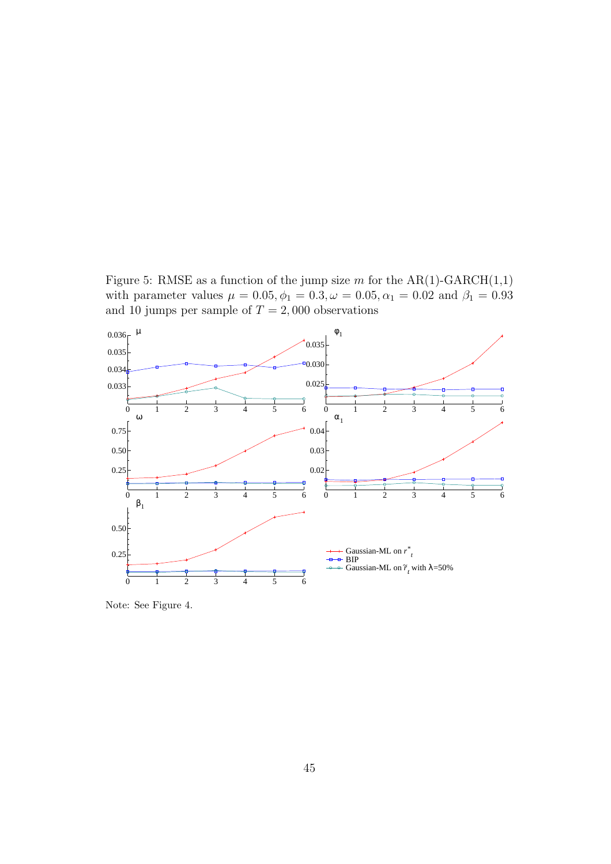Figure 5: RMSE as a function of the jump size  $m$  for the AR(1)-GARCH(1,1) with parameter values  $\mu = 0.05, \phi_1 = 0.3, \omega = 0.05, \alpha_1 = 0.02$  and  $\beta_1 = 0.93$ and 10 jumps per sample of  $T = 2,000$  observations



Note: See Figure 4.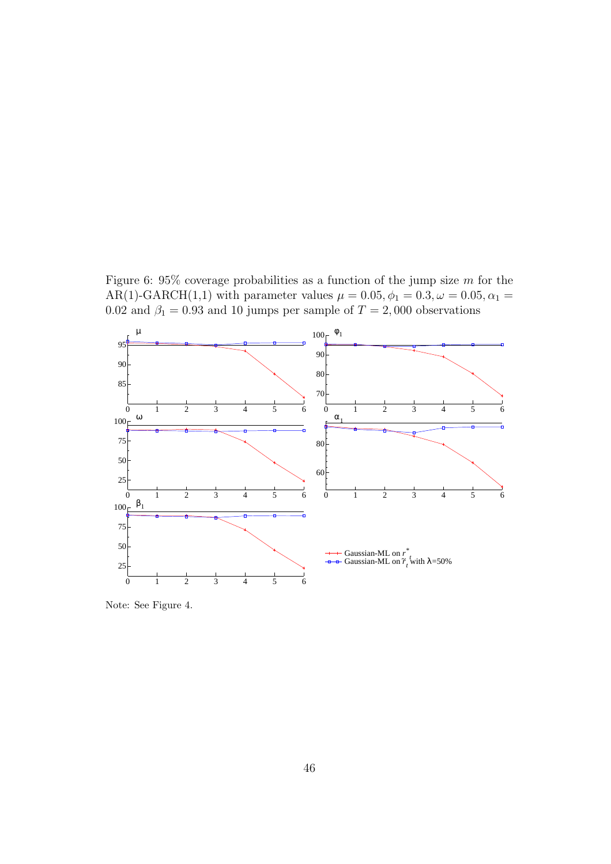Figure 6:  $95\%$  coverage probabilities as a function of the jump size m for the AR(1)-GARCH(1,1) with parameter values  $\mu = 0.05, \phi_1 = 0.3, \omega = 0.05, \alpha_1 = 0.05$ 0.02 and  $\beta_1 = 0.93$  and 10 jumps per sample of  $T = 2,000$  observations



Note: See Figure 4.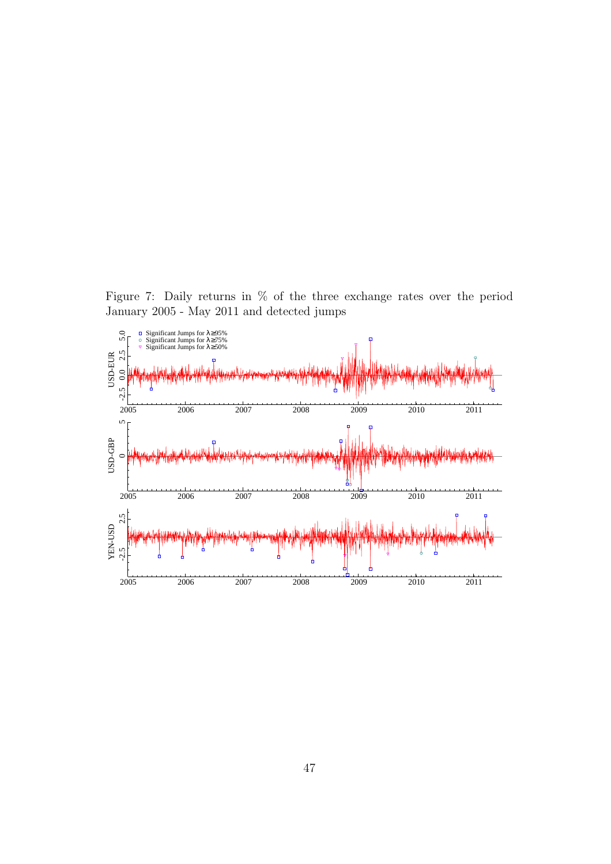Figure 7: Daily returns in % of the three exchange rates over the period January 2005 - May 2011 and detected jumps

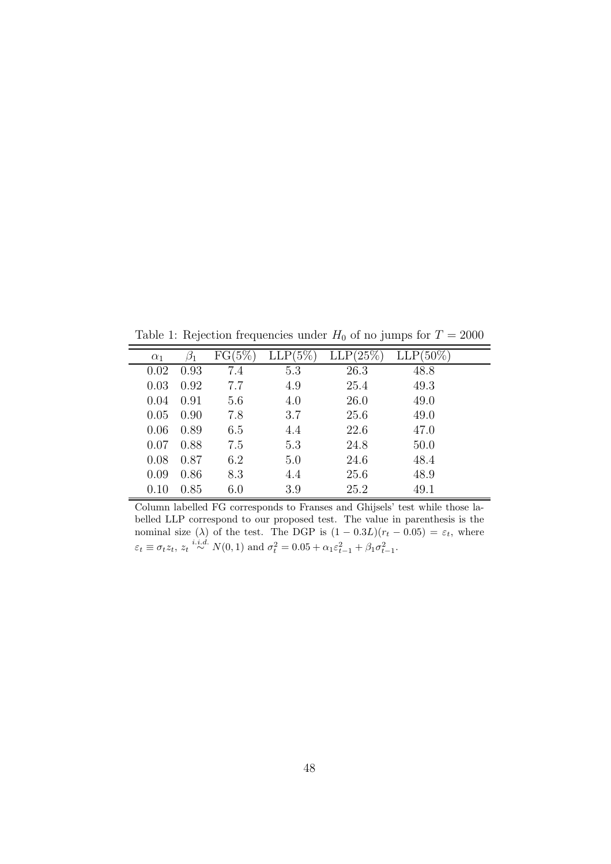Table 1: Rejection frequencies under  $H_0$  of no jumps for  $T = 2000$ 

|            |      |           |            | $ \alpha$   | $\mathbf{J}$ and $\mathbf{J}$ and $\mathbf{J}$ |
|------------|------|-----------|------------|-------------|------------------------------------------------|
| $\alpha_1$ |      | $FG(5\%)$ | $LLP(5\%)$ | $LLP(25\%)$ | $LLP(50\%)$                                    |
| 0.02       | 0.93 | 7.4       | 5.3        | 26.3        | 48.8                                           |
| 0.03       | 0.92 | 7.7       | 4.9        | 25.4        | 49.3                                           |
| 0.04       | 0.91 | 5.6       | 4.0        | 26.0        | 49.0                                           |
| 0.05       | 0.90 | 7.8       | 3.7        | 25.6        | 49.0                                           |
| 0.06       | 0.89 | 6.5       | 4.4        | 22.6        | 47.0                                           |
| 0.07       | 0.88 | 7.5       | 5.3        | 24.8        | 50.0                                           |
| 0.08       | 0.87 | 6.2       | 5.0        | 24.6        | 48.4                                           |
| 0.09       | 0.86 | 8.3       | 4.4        | 25.6        | 48.9                                           |
| 0.10       | 0.85 | 6.0       | 3.9        | 25.2        | 49.1                                           |

Column labelled FG corresponds to Franses and Ghijsels' test while those labelled LLP correspond to our proposed test. The value in parenthesis is the nominal size ( $\lambda$ ) of the test. The DGP is  $(1 - 0.3L)(r_t - 0.05) = \varepsilon_t$ , where  $\varepsilon_t \equiv \sigma_t z_t$ ,  $z_t \stackrel{i.i.d.}{\sim} N(0, 1)$  and  $\sigma_t^2 = 0.05 + \alpha_1 \varepsilon_{t-1}^2 + \beta_1 \sigma_{t-1}^2$ .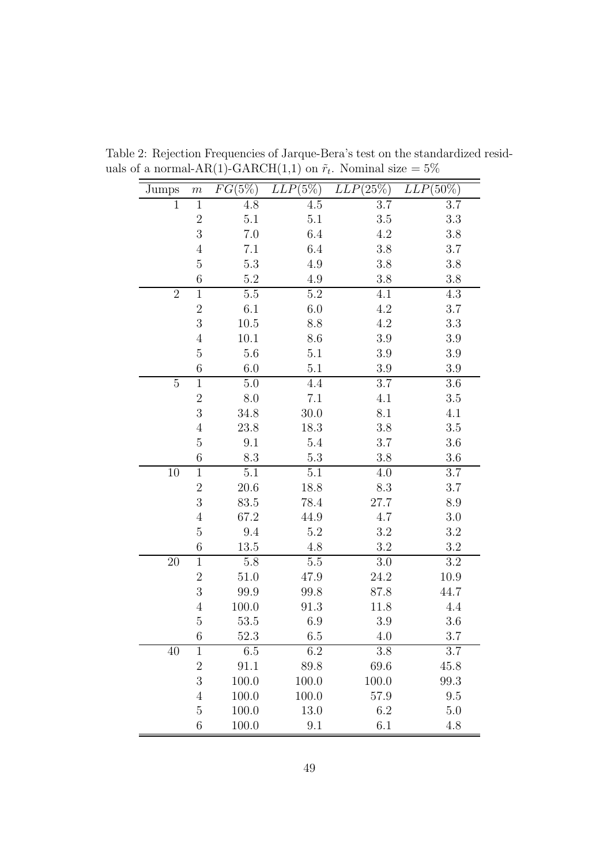| Jumps          | $\,m$            | $FG(5\%)$ | $LLP(5\%)$ | $LLP(25\%)$ | $LLP(50\%)$ |
|----------------|------------------|-----------|------------|-------------|-------------|
| $\overline{1}$ | $\mathbf{1}$     | 4.8       | 4.5        | 3.7         | 3.7         |
|                | $\overline{2}$   | 5.1       | $5.1\,$    | 3.5         | 3.3         |
|                | 3                | $7.0\,$   | 6.4        | 4.2         | 3.8         |
|                | $\overline{4}$   | 7.1       | 6.4        | 3.8         | 3.7         |
|                | $\overline{5}$   | 5.3       | 4.9        | 3.8         | 3.8         |
|                | 6                | $5.2\,$   | 4.9        | 3.8         | 3.8         |
| $\overline{2}$ | $\mathbf 1$      | $5.5\,$   | $5.2\,$    | 4.1         | 4.3         |
|                | $\overline{2}$   | 6.1       | $6.0\,$    | 4.2         | 3.7         |
|                | 3                | $10.5\,$  | 8.8        | 4.2         | 3.3         |
|                | $\overline{4}$   | 10.1      | 8.6        | 3.9         | 3.9         |
|                | $\overline{5}$   | $5.6\,$   | 5.1        | 3.9         | 3.9         |
|                | 6                | 6.0       | 5.1        | 3.9         | 3.9         |
| $\overline{5}$ | $\mathbf{1}$     | 5.0       | 4.4        | 3.7         | 3.6         |
|                | $\sqrt{2}$       | 8.0       | 7.1        | 4.1         | 3.5         |
|                | 3                | 34.8      | 30.0       | 8.1         | 4.1         |
|                | $\overline{4}$   | 23.8      | 18.3       | 3.8         | 3.5         |
|                | $\overline{5}$   | 9.1       | 5.4        | 3.7         | 3.6         |
|                | 6                | 8.3       | 5.3        | 3.8         | 3.6         |
| 10             | $\mathbf 1$      | 5.1       | 5.1        | 4.0         | 3.7         |
|                | $\overline{2}$   | 20.6      | 18.8       | 8.3         | 3.7         |
|                | 3                | 83.5      | 78.4       | 27.7        | 8.9         |
|                | $\overline{4}$   | 67.2      | 44.9       | 4.7         | 3.0         |
|                | $\overline{5}$   | 9.4       | $5.2\,$    | 3.2         | 3.2         |
|                | $\boldsymbol{6}$ | 13.5      | 4.8        | 3.2         | 3.2         |
| 20             | $\mathbf{1}$     | 5.8       | $5.5\,$    | 3.0         | 3.2         |
|                | $\overline{2}$   | 51.0      | 47.9       | 24.2        | 10.9        |
|                | 3                | 99.9      | 99.8       | 87.8        | 44.7        |
|                | $\overline{4}$   | 100.0     | 91.3       | 11.8        | 4.4         |
|                | $\overline{5}$   | 53.5      | 6.9        | 3.9         | 3.6         |
|                | $\,6\,$          | 52.3      | 6.5        | 4.0         | 3.7         |
| 40             | $\mathbf 1$      | 6.5       | 6.2        | 3.8         | 3.7         |
|                | $\sqrt{2}$       | 91.1      | 89.8       | 69.6        | 45.8        |
|                | 3                | 100.0     | 100.0      | 100.0       | 99.3        |
|                | $\overline{4}$   | 100.0     | 100.0      | 57.9        | 9.5         |
|                | $\overline{5}$   | 100.0     | 13.0       | 6.2         | 5.0         |
|                | $\boldsymbol{6}$ | 100.0     | 9.1        | 6.1         | 4.8         |

Table 2: Rejection Frequencies of Jarque-Bera's test on the standardized residuals of a normal-AR(1)-GARCH(1,1) on  $\tilde{r}_t$ . Nominal size  $=5\%$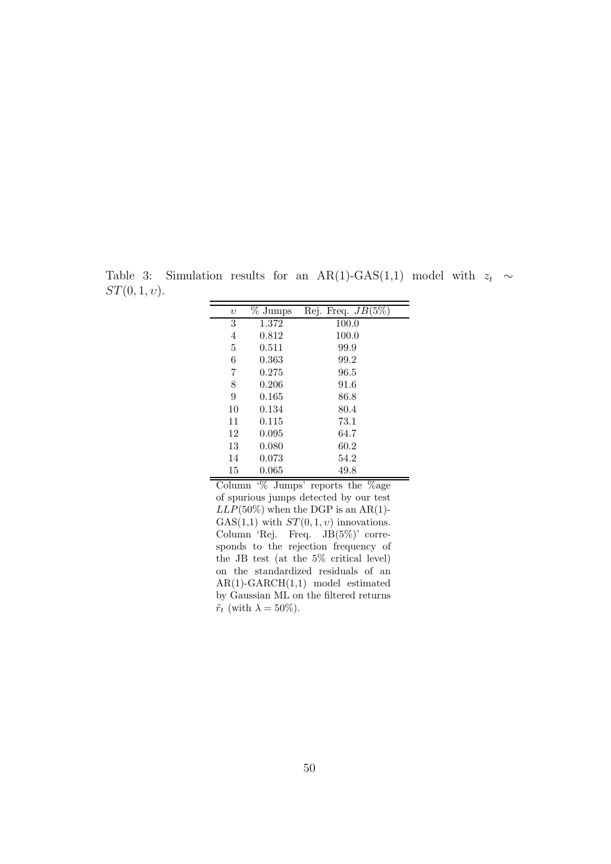Table 3: Simulation results for an AR(1)-GAS(1,1) model with  $z_t \sim$  $ST(0, 1, v).$ 

| $\upsilon$ | $%$ Jumps | Rej. Freq. $JB(5\%)$ |
|------------|-----------|----------------------|
| 3          | 1.372     | 100.0                |
| 4          | 0.812     | 100.0                |
| 5          | 0.511     | 99.9                 |
| 6          | 0.363     | 99.2                 |
| 7          | 0.275     | 96.5                 |
| 8          | 0.206     | 91.6                 |
| 9          | 0.165     | 86.8                 |
| 10         | 0.134     | 80.4                 |
| 11         | 0.115     | 73.1                 |
| 12         | 0.095     | 64.7                 |
| 13         | 0.080     | 60.2                 |
| 14         | 0.073     | 54.2                 |
| 15         | 0.065     | 49.8                 |

Column '% Jumps' reports the %age of spurious jumps detected by our test  $LLP(50\%)$  when the DGP is an AR(1)-GAS $(1,1)$  with  $ST(0,1,v)$  innovations. Column 'Rej. Freq. JB(5%)' corresponds to the rejection frequency of the JB test (at the 5% critical level) on the standardized residuals of an AR(1)-GARCH(1,1) model estimated by Gaussian ML on the filtered returns  $\tilde{r}_t$  (with  $\lambda = 50\%$ ).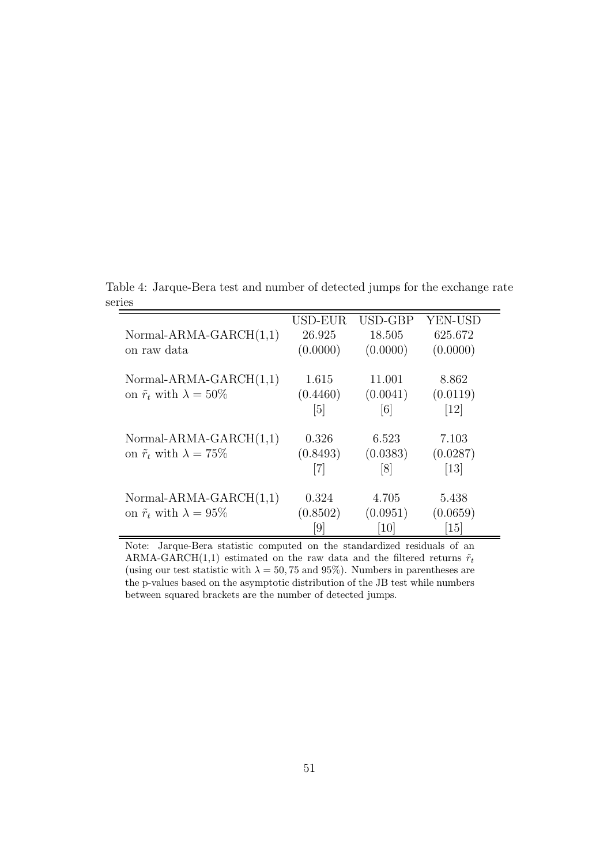Table 4: Jarque-Bera test and number of detected jumps for the exchange rate series

|                                        | USD-EUR           | USD-GBP          | YEN-USD                      |
|----------------------------------------|-------------------|------------------|------------------------------|
| Normal-ARMA-GARCH $(1,1)$              | 26.925            | 18.505           | 625.672                      |
| on raw data                            | (0.0000)          | (0.0000)         | (0.0000)                     |
| Normal-ARMA-GARCH $(1,1)$              | 1.615             | 11.001           | 8.862                        |
| on $\tilde{r}_t$ with $\lambda = 50\%$ | (0.4460)          | (0.0041)         | (0.0119)                     |
|                                        | $\lceil 5 \rceil$ | [6]              | $\left\lceil 12\right\rceil$ |
| Normal-ARMA-GARCH $(1,1)$              | 0.326             | 6.523            | 7.103                        |
| on $\tilde{r}_t$ with $\lambda = 75\%$ | (0.8493)          | (0.0383)         | (0.0287)                     |
|                                        |                   | $\left[8\right]$ | $[13]$                       |
| Normal-ARMA-GARCH $(1,1)$              | 0.324             | 4.705            | 5.438                        |
| on $\tilde{r}_t$ with $\lambda = 95\%$ | (0.8502)          | (0.0951)         | (0.0659)                     |
|                                        | 9                 | 10               | <sup>15</sup>                |

Note: Jarque-Bera statistic computed on the standardized residuals of an ARMA-GARCH(1,1) estimated on the raw data and the filtered returns  $\tilde{r}_t$ (using our test statistic with  $\lambda = 50, 75$  and 95%). Numbers in parentheses are the p-values based on the asymptotic distribution of the JB test while numbers between squared brackets are the number of detected jumps.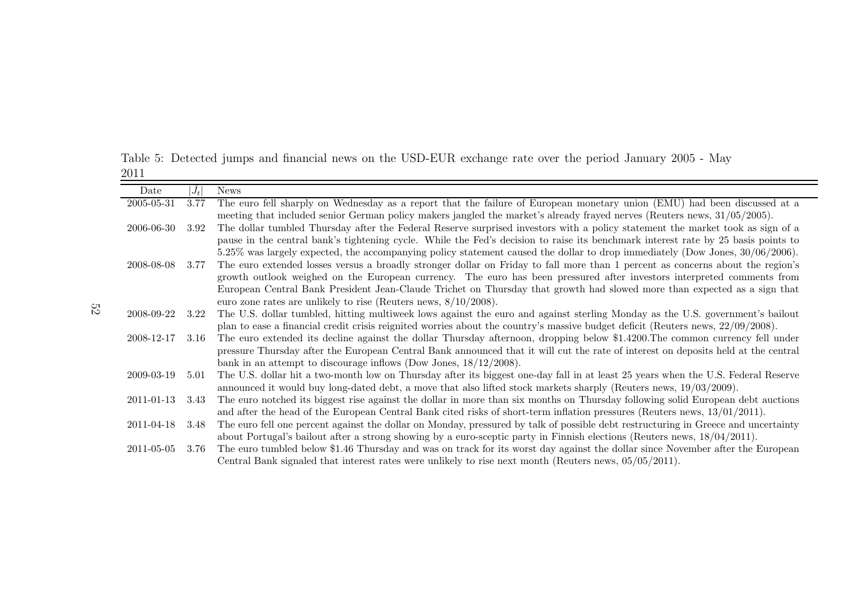Table 5: Detected jumps and financial news on the USD-EUR exchange rate over the period January <sup>2005</sup> - May

| 2011            |         |                                                                                                                                                                                                                                                                 |
|-----------------|---------|-----------------------------------------------------------------------------------------------------------------------------------------------------------------------------------------------------------------------------------------------------------------|
| Date            | $ J_t $ | <b>News</b>                                                                                                                                                                                                                                                     |
| 2005-05-31      | 3.77    | The euro fell sharply on Wednesday as a report that the failure of European monetary union (EMU) had been discussed at a                                                                                                                                        |
|                 |         | meeting that included senior German policy makers jangled the market's already frayed nerves (Reuters news, 31/05/2005).                                                                                                                                        |
| 2006-06-30      | 3.92    | The dollar tumbled Thursday after the Federal Reserve surprised investors with a policy statement the market took as sign of a                                                                                                                                  |
|                 |         | pause in the central bank's tightening cycle. While the Fed's decision to raise its benchmark interest rate by 25 basis points to                                                                                                                               |
|                 |         | $5.25\%$ was largely expected, the accompanying policy statement caused the dollar to drop immediately (Dow Jones, $30/06/2006$ ).                                                                                                                              |
| 2008-08-08      | 3.77    | The euro extended losses versus a broadly stronger dollar on Friday to fall more than 1 percent as concerns about the region's                                                                                                                                  |
|                 |         | growth outlook weighed on the European currency. The euro has been pressured after investors interpreted comments from                                                                                                                                          |
|                 |         | European Central Bank President Jean-Claude Trichet on Thursday that growth had slowed more than expected as a sign that                                                                                                                                        |
|                 |         | euro zone rates are unlikely to rise (Reuters news, $8/10/2008$ ).                                                                                                                                                                                              |
| 2008-09-22      | 3.22    | The U.S. dollar tumbled, hitting multiweek lows against the euro and against sterling Monday as the U.S. government's bailout                                                                                                                                   |
|                 |         | plan to ease a financial credit crisis reignited worries about the country's massive budget deficit (Reuters news, 22/09/2008).                                                                                                                                 |
| 2008-12-17      | 3.16    | The euro extended its decline against the dollar Thursday afternoon, dropping below \$1.4200. The common currency fell under                                                                                                                                    |
|                 |         | pressure Thursday after the European Central Bank announced that it will cut the rate of interest on deposits held at the central                                                                                                                               |
|                 |         | bank in an attempt to discourage inflows (Dow Jones, $18/12/2008$ ).                                                                                                                                                                                            |
| 2009-03-19      | 5.01    | The U.S. dollar hit a two-month low on Thursday after its biggest one-day fall in at least 25 years when the U.S. Federal Reserve                                                                                                                               |
|                 |         | announced it would buy long-dated debt, a move that also lifted stock markets sharply (Reuters news, $19/03/2009$ ).                                                                                                                                            |
| 2011-01-13 3.43 |         | The euro notched its biggest rise against the dollar in more than six months on Thursday following solid European debt auctions<br>and after the head of the European Central Bank cited risks of short-term inflation pressures (Reuters news, $13/01/2011$ ). |
| 2011-04-18 3.48 |         | The euro fell one percent against the dollar on Monday, pressured by talk of possible debt restructuring in Greece and uncertainty                                                                                                                              |
|                 |         | about Portugal's bailout after a strong showing by a euro-sceptic party in Finnish elections (Reuters news, $18/04/2011$ ).                                                                                                                                     |
| 2011-05-05      | 3.76    | The euro tumbled below \$1.46 Thursday and was on track for its worst day against the dollar since November after the European                                                                                                                                  |
|                 |         | Central Bank signaled that interest rates were unlikely to rise next month (Reuters news, $05/05/2011$ ).                                                                                                                                                       |
|                 |         |                                                                                                                                                                                                                                                                 |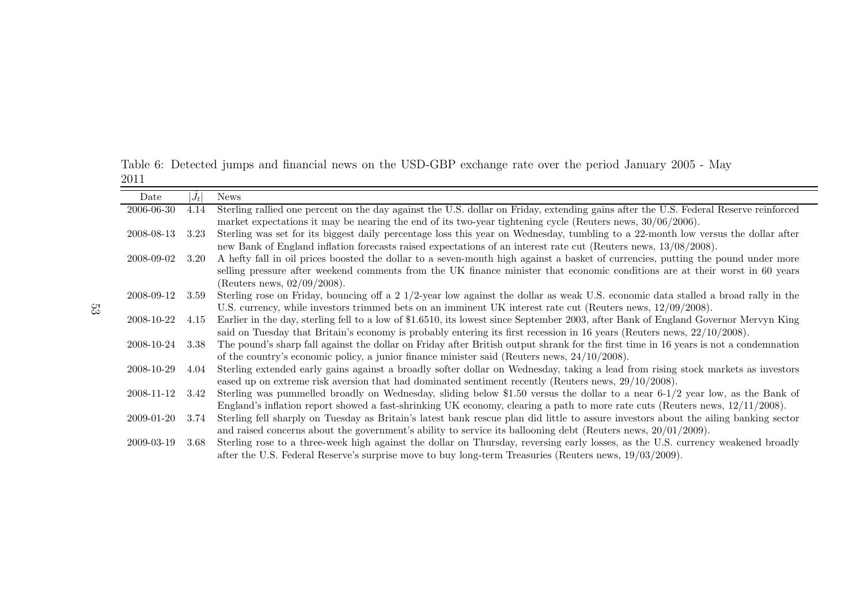Table 6: Detected jumps and financial news on the USD-GBP exchange rate over the period January <sup>2005</sup> - May 2011

| Date       | $J_t$ | <b>News</b>                                                                                                                          |
|------------|-------|--------------------------------------------------------------------------------------------------------------------------------------|
| 2006-06-30 | 4.14  | Sterling rallied one percent on the day against the U.S. dollar on Friday, extending gains after the U.S. Federal Reserve reinforced |
|            |       | market expectations it may be nearing the end of its two-year tightening cycle (Reuters news, $30/06/2006$ ).                        |
| 2008-08-13 | 3.23  | Sterling was set for its biggest daily percentage loss this year on Wednesday, tumbling to a 22-month low versus the dollar after    |
|            |       | new Bank of England inflation forecasts raised expectations of an interest rate cut (Reuters news, 13/08/2008).                      |
| 2008-09-02 | 3.20  | A hefty fall in oil prices boosted the dollar to a seven-month high against a basket of currencies, putting the pound under more     |
|            |       | selling pressure after weekend comments from the UK finance minister that economic conditions are at their worst in 60 years         |
|            |       | (Reuters news, $02/09/2008$ ).                                                                                                       |
| 2008-09-12 | 3.59  | Sterling rose on Friday, bouncing off a 2 1/2-year low against the dollar as weak U.S. economic data stalled a broad rally in the    |
|            |       | U.S. currency, while investors trimmed bets on an imminent UK interest rate cut (Reuters news, $12/09/2008$ ).                       |
| 2008-10-22 | 4.15  | Earlier in the day, sterling fell to a low of \$1.6510, its lowest since September 2003, after Bank of England Governor Mervyn King  |
|            |       | said on Tuesday that Britain's economy is probably entering its first recession in 16 years (Reuters news, $22/10/2008$ ).           |
| 2008-10-24 | 3.38  | The pound's sharp fall against the dollar on Friday after British output shrank for the first time in 16 years is not a condemnation |
|            |       | of the country's economic policy, a junior finance minister said (Reuters news, $24/10/2008$ ).                                      |
| 2008-10-29 | 4.04  | Sterling extended early gains against a broadly softer dollar on Wednesday, taking a lead from rising stock markets as investors     |
|            |       | eased up on extreme risk aversion that had dominated sentiment recently (Reuters news, $29/10/2008$ ).                               |
| 2008-11-12 | 3.42  | Sterling was pummelled broadly on Wednesday, sliding below \$1.50 versus the dollar to a near $6-1/2$ year low, as the Bank of       |
|            |       | England's inflation report showed a fast-shrinking UK economy, clearing a path to more rate cuts (Reuters news, $12/11/2008$ ).      |
| 2009-01-20 | 3.74  | Sterling fell sharply on Tuesday as Britain's latest bank rescue plan did little to assure investors about the ailing banking sector |
|            |       | and raised concerns about the government's ability to service its ballooning debt (Reuters news, $20/01/2009$ ).                     |
| 2009-03-19 | 3.68  | Sterling rose to a three-week high against the dollar on Thursday, reversing early losses, as the U.S. currency weakened broadly     |
|            |       | after the U.S. Federal Reserve's surprise move to buy long-term Treasuries (Reuters news, $19/03/2009$ ).                            |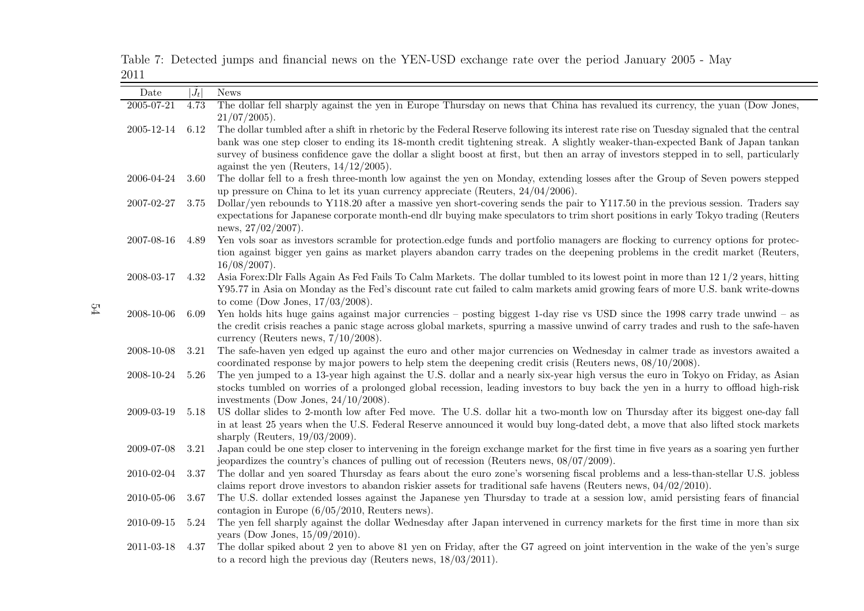| Date       | $ J_t $ | <b>News</b>                                                                                                                                                            |
|------------|---------|------------------------------------------------------------------------------------------------------------------------------------------------------------------------|
| 2005-07-21 | 4.73    | The dollar fell sharply against the yen in Europe Thursday on news that China has revalued its currency, the yuan (Dow Jones,                                          |
|            |         | $21/07/2005$ ).                                                                                                                                                        |
| 2005-12-14 | 6.12    | The dollar tumbled after a shift in rhetoric by the Federal Reserve following its interest rate rise on Tuesday signaled that the central                              |
|            |         | bank was one step closer to ending its 18-month credit tightening streak. A slightly weaker-than-expected Bank of Japan tankan                                         |
|            |         | survey of business confidence gave the dollar a slight boost at first, but then an array of investors stepped in to sell, particularly                                 |
|            |         | against the yen (Reuters, $14/12/2005$ ).                                                                                                                              |
| 2006-04-24 | 3.60    | The dollar fell to a fresh three-month low against the yen on Monday, extending losses after the Group of Seven powers stepped                                         |
|            |         | up pressure on China to let its yuan currency appreciate (Reuters, $24/04/2006$ ).                                                                                     |
| 2007-02-27 | 3.75    | Dollar/yen rebounds to Y118.20 after a massive yen short-covering sends the pair to Y117.50 in the previous session. Traders say                                       |
|            |         | expectations for Japanese corporate month-end dlr buying make speculators to trim short positions in early Tokyo trading (Reuters                                      |
|            |         | news, $27/02/2007$ ).                                                                                                                                                  |
| 2007-08-16 | 4.89    | Yen vols soar as investors scramble for protection.edge funds and portfolio managers are flocking to currency options for protec-                                      |
|            |         | tion against bigger yen gains as market players abandon carry trades on the deepening problems in the credit market (Reuters,                                          |
|            |         | $16/08/2007$ ).                                                                                                                                                        |
| 2008-03-17 | 4.32    | Asia Forex: Dlr Falls Again As Fed Fails To Calm Markets. The dollar tumbled to its lowest point in more than 12 1/2 years, hitting                                    |
|            |         | Y95.77 in Asia on Monday as the Fed's discount rate cut failed to calm markets amid growing fears of more U.S. bank write-downs<br>to come (Dow Jones, $17/03/2008$ ). |
| 2008-10-06 | 6.09    | Yen holds hits huge gains against major currencies – posting biggest 1-day rise vs USD since the 1998 carry trade unwind – as                                          |
|            |         | the credit crisis reaches a panic stage across global markets, spurring a massive unwind of carry trades and rush to the safe-haven                                    |
|            |         | currency (Reuters news, $7/10/2008$ ).                                                                                                                                 |
| 2008-10-08 | 3.21    | The safe-haven yen edged up against the euro and other major currencies on Wednesday in calmer trade as investors awaited a                                            |
|            |         | coordinated response by major powers to help stem the deepening credit crisis (Reuters news, 08/10/2008).                                                              |
| 2008-10-24 | 5.26    | The yen jumped to a 13-year high against the U.S. dollar and a nearly six-year high versus the euro in Tokyo on Friday, as Asian                                       |
|            |         | stocks tumbled on worries of a prolonged global recession, leading investors to buy back the yen in a hurry to offload high-risk                                       |
|            |         | investments (Dow Jones, $24/10/2008$ ).                                                                                                                                |
| 2009-03-19 | 5.18    | US dollar slides to 2-month low after Fed move. The U.S. dollar hit a two-month low on Thursday after its biggest one-day fall                                         |
|            |         | in at least 25 years when the U.S. Federal Reserve announced it would buy long-dated debt, a move that also lifted stock markets                                       |
|            |         | sharply (Reuters, $19/03/2009$ ).                                                                                                                                      |
| 2009-07-08 | 3.21    | Japan could be one step closer to intervening in the foreign exchange market for the first time in five years as a soaring yen further                                 |
|            |         | jeopardizes the country's chances of pulling out of recession (Reuters news, 08/07/2009).                                                                              |
| 2010-02-04 | 3.37    | The dollar and yen soared Thursday as fears about the euro zone's worsening fiscal problems and a less-than-stellar U.S. jobless                                       |
|            |         | claims report drove investors to abandon riskier assets for traditional safe havens (Reuters news, $04/02/2010$ ).                                                     |
| 2010-05-06 | 3.67    | The U.S. dollar extended losses against the Japanese yen Thursday to trade at a session low, amid persisting fears of financial                                        |
|            |         | contagion in Europe $(6/05/2010,$ Reuters news).                                                                                                                       |
| 2010-09-15 | 5.24    | The yen fell sharply against the dollar Wednesday after Japan intervened in currency markets for the first time in more than six                                       |
|            |         | years (Dow Jones, $15/09/2010$ ).                                                                                                                                      |
| 2011-03-18 | 4.37    | The dollar spiked about 2 yen to above 81 yen on Friday, after the G7 agreed on joint intervention in the wake of the yen's surge                                      |

to <sup>a</sup> record high the previous day (Reuters news, 18/03/2011).

Table 7: Detected jumps and financial news on the YEN-USD exchange rate over the period January <sup>2005</sup> - May 2011

54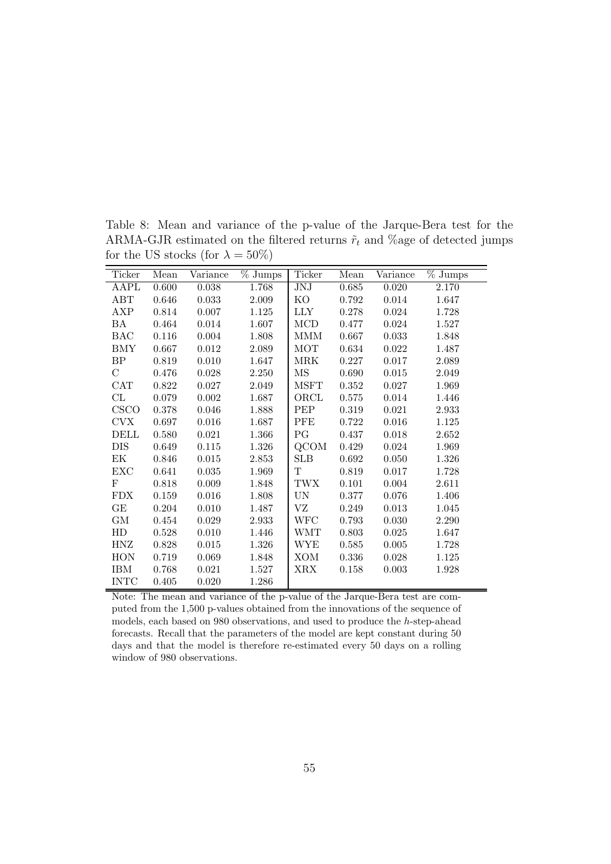| Ticker      | Mean  | Variance  | $\overline{\%}$ Jumps | Ticker              | Mean      | Variance    | $\overline{\%}$ Jumps |
|-------------|-------|-----------|-----------------------|---------------------|-----------|-------------|-----------------------|
| AAPL        | 0.600 | $0.038\,$ | 1.768                 | JNJ                 | 0.685     | 0.020       | 2.170                 |
| ABT         | 0.646 | 0.033     | 2.009                 | KO                  | 0.792     | $0.014\,$   | 1.647                 |
| <b>AXP</b>  | 0.814 | 0.007     | 1.125                 | <b>LLY</b>          | 0.278     | 0.024       | 1.728                 |
| <b>BA</b>   | 0.464 | 0.014     | 1.607                 | $\rm MCD$           | 0.477     | 0.024       | 1.527                 |
| <b>BAC</b>  | 0.116 | 0.004     | 1.808                 | MMM                 | 0.667     | 0.033       | 1.848                 |
| BMY         | 0.667 | $0.012\,$ | 2.089                 | <b>MOT</b>          | 0.634     | 0.022       | 1.487                 |
| BP          | 0.819 | 0.010     | 1.647                 | MRK                 | 0.227     | 0.017       | 2.089                 |
| С           | 0.476 | 0.028     | 2.250                 | $\overline{\rm MS}$ | 0.690     | 0.015       | 2.049                 |
| CAT         | 0.822 | 0.027     | 2.049                 | <b>MSFT</b>         | 0.352     | 0.027       | 1.969                 |
| CL          | 0.079 | 0.002     | 1.687                 | ORCL                | 0.575     | 0.014       | 1.446                 |
| <b>CSCO</b> | 0.378 | $0.046\,$ | 1.888                 | PEP                 | 0.319     | 0.021       | 2.933                 |
| <b>CVX</b>  | 0.697 | 0.016     | 1.687                 | PFE                 | 0.722     | 0.016       | 1.125                 |
| DELL        | 0.580 | 0.021     | 1.366                 | PG                  | 0.437     | 0.018       | 2.652                 |
| <b>DIS</b>  | 0.649 | $0.115\,$ | 1.326                 | QCOM                | 0.429     | 0.024       | 1.969                 |
| EK          | 0.846 | 0.015     | 2.853                 | <b>SLB</b>          | 0.692     | 0.050       | 1.326                 |
| EXC         | 0.641 | 0.035     | 1.969                 | $\rm T$             | 0.819     | 0.017       | 1.728                 |
| $\mathbf F$ | 0.818 | 0.009     | 1.848                 | <b>TWX</b>          | 0.101     | 0.004       | 2.611                 |
| <b>FDX</b>  | 0.159 | $0.016\,$ | 1.808                 | UN                  | 0.377     | 0.076       | 1.406                 |
| GE          | 0.204 | 0.010     | 1.487                 | VZ                  | 0.249     | 0.013       | 1.045                 |
| GM          | 0.454 | 0.029     | 2.933                 | <b>WFC</b>          | 0.793     | 0.030       | 2.290                 |
| HD          | 0.528 | 0.010     | 1.446                 | WMT                 | $0.803\,$ | 0.025       | 1.647                 |
| HNZ         | 0.828 | 0.015     | 1.326                 | WYE                 | 0.585     | $\,0.005\,$ | 1.728                 |
| <b>HON</b>  | 0.719 | 0.069     | 1.848                 | <b>XOM</b>          | 0.336     | $0.028\,$   | 1.125                 |
| <b>IBM</b>  | 0.768 | 0.021     | 1.527                 | XRX                 | 0.158     | 0.003       | 1.928                 |
| INTC        | 0.405 | 0.020     | 1.286                 |                     |           |             |                       |

Table 8: Mean and variance of the p-value of the Jarque-Bera test for the ARMA-GJR estimated on the filtered returns  $\tilde{r}_t$  and %age of detected jumps for the US stocks (for  $\lambda = 50\%)$ 

Note: The mean and variance of the p-value of the Jarque-Bera test are computed from the 1,500 p-values obtained from the innovations of the sequence of models, each based on 980 observations, and used to produce the h-step-ahead forecasts. Recall that the parameters of the model are kept constant during 50 days and that the model is therefore re-estimated every 50 days on a rolling window of 980 observations.